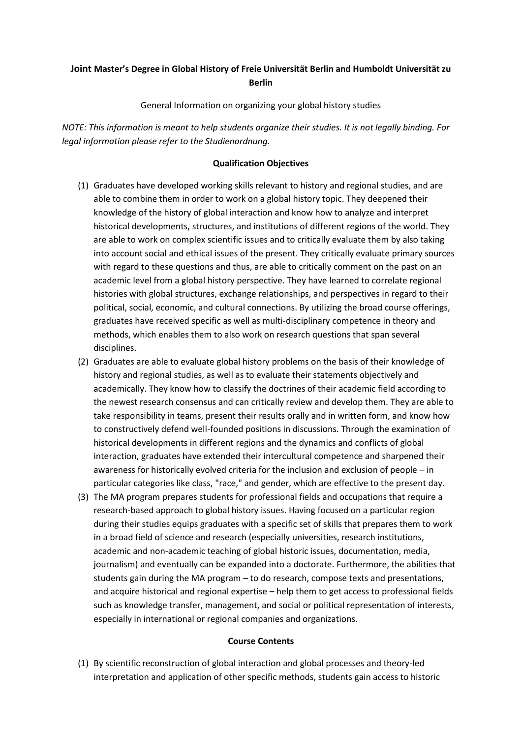# **Joint Master's Degree in Global History of Freie Universität Berlin and Humboldt Universität zu Berlin**

General Information on organizing your global history studies

*NOTE: This information is meant to help students organize their studies. It is not legally binding. For legal information please refer to the Studienordnung.*

# **Qualification Objectives**

- (1) Graduates have developed working skills relevant to history and regional studies, and are able to combine them in order to work on a global history topic. They deepened their knowledge of the history of global interaction and know how to analyze and interpret historical developments, structures, and institutions of different regions of the world. They are able to work on complex scientific issues and to critically evaluate them by also taking into account social and ethical issues of the present. They critically evaluate primary sources with regard to these questions and thus, are able to critically comment on the past on an academic level from a global history perspective. They have learned to correlate regional histories with global structures, exchange relationships, and perspectives in regard to their political, social, economic, and cultural connections. By utilizing the broad course offerings, graduates have received specific as well as multi-disciplinary competence in theory and methods, which enables them to also work on research questions that span several disciplines.
- (2) Graduates are able to evaluate global history problems on the basis of their knowledge of history and regional studies, as well as to evaluate their statements objectively and academically. They know how to classify the doctrines of their academic field according to the newest research consensus and can critically review and develop them. They are able to take responsibility in teams, present their results orally and in written form, and know how to constructively defend well-founded positions in discussions. Through the examination of historical developments in different regions and the dynamics and conflicts of global interaction, graduates have extended their intercultural competence and sharpened their awareness for historically evolved criteria for the inclusion and exclusion of people – in particular categories like class, "race," and gender, which are effective to the present day.
- (3) The MA program prepares students for professional fields and occupations that require a research-based approach to global history issues. Having focused on a particular region during their studies equips graduates with a specific set of skills that prepares them to work in a broad field of science and research (especially universities, research institutions, academic and non-academic teaching of global historic issues, documentation, media, journalism) and eventually can be expanded into a doctorate. Furthermore, the abilities that students gain during the MA program – to do research, compose texts and presentations, and acquire historical and regional expertise – help them to get access to professional fields such as knowledge transfer, management, and social or political representation of interests, especially in international or regional companies and organizations.

#### **Course Contents**

(1) By scientific reconstruction of global interaction and global processes and theory-led interpretation and application of other specific methods, students gain access to historic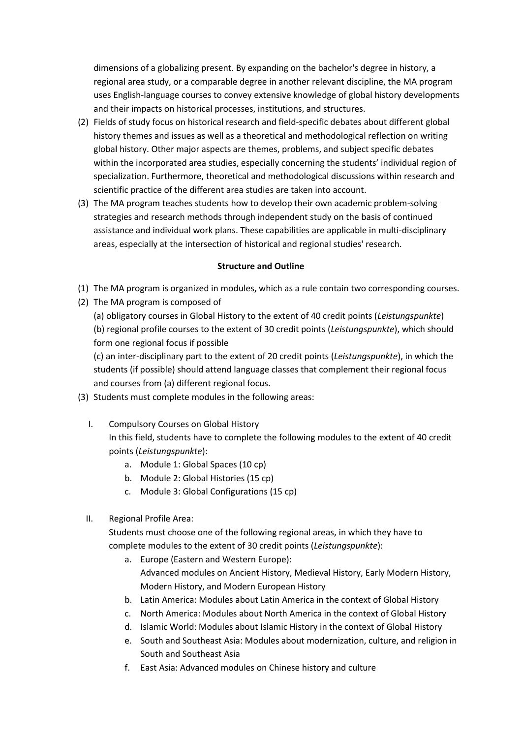dimensions of a globalizing present. By expanding on the bachelor's degree in history, a regional area study, or a comparable degree in another relevant discipline, the MA program uses English-language courses to convey extensive knowledge of global history developments and their impacts on historical processes, institutions, and structures.

- (2) Fields of study focus on historical research and field-specific debates about different global history themes and issues as well as a theoretical and methodological reflection on writing global history. Other major aspects are themes, problems, and subject specific debates within the incorporated area studies, especially concerning the students' individual region of specialization. Furthermore, theoretical and methodological discussions within research and scientific practice of the different area studies are taken into account.
- (3) The MA program teaches students how to develop their own academic problem-solving strategies and research methods through independent study on the basis of continued assistance and individual work plans. These capabilities are applicable in multi-disciplinary areas, especially at the intersection of historical and regional studies' research.

### **Structure and Outline**

- (1) The MA program is organized in modules, which as a rule contain two corresponding courses.
- (2) The MA program is composed of

(a) obligatory courses in Global History to the extent of 40 credit points (*Leistungspunkte*) (b) regional profile courses to the extent of 30 credit points (*Leistungspunkte*), which should form one regional focus if possible

(c) an inter-disciplinary part to the extent of 20 credit points (*Leistungspunkte*), in which the students (if possible) should attend language classes that complement their regional focus and courses from (a) different regional focus.

- (3) Students must complete modules in the following areas:
	- I. Compulsory Courses on Global History In this field, students have to complete the following modules to the extent of 40 credit points (*Leistungspunkte*):
		- a. Module 1: Global Spaces (10 cp)
		- b. Module 2: Global Histories (15 cp)
		- c. Module 3: Global Configurations (15 cp)
	- II. Regional Profile Area:

Students must choose one of the following regional areas, in which they have to complete modules to the extent of 30 credit points (*Leistungspunkte*):

- a. Europe (Eastern and Western Europe): Advanced modules on Ancient History, Medieval History, Early Modern History, Modern History, and Modern European History
- b. Latin America: Modules about Latin America in the context of Global History
- c. North America: Modules about North America in the context of Global History
- d. Islamic World: Modules about Islamic History in the context of Global History
- e. South and Southeast Asia: Modules about modernization, culture, and religion in South and Southeast Asia
- f. East Asia: Advanced modules on Chinese history and culture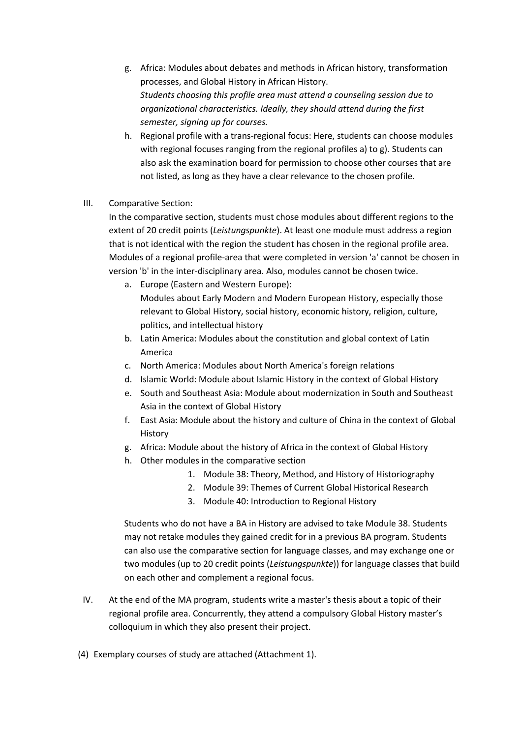- g. Africa: Modules about debates and methods in African history, transformation processes, and Global History in African History. *Students choosing this profile area must attend a counseling session due to organizational characteristics. Ideally, they should attend during the first semester, signing up for courses.*
- h. Regional profile with a trans-regional focus: Here, students can choose modules with regional focuses ranging from the regional profiles a) to g). Students can also ask the examination board for permission to choose other courses that are not listed, as long as they have a clear relevance to the chosen profile.
- III. Comparative Section:

In the comparative section, students must chose modules about different regions to the extent of 20 credit points (*Leistungspunkte*). At least one module must address a region that is not identical with the region the student has chosen in the regional profile area. Modules of a regional profile-area that were completed in version 'a' cannot be chosen in version 'b' in the inter-disciplinary area. Also, modules cannot be chosen twice.

- a. Europe (Eastern and Western Europe): Modules about Early Modern and Modern European History, especially those relevant to Global History, social history, economic history, religion, culture, politics, and intellectual history
- b. Latin America: Modules about the constitution and global context of Latin America
- c. North America: Modules about North America's foreign relations
- d. Islamic World: Module about Islamic History in the context of Global History
- e. South and Southeast Asia: Module about modernization in South and Southeast Asia in the context of Global History
- f. East Asia: Module about the history and culture of China in the context of Global History
- g. Africa: Module about the history of Africa in the context of Global History
- h. Other modules in the comparative section
	- 1. Module 38: Theory, Method, and History of Historiography
	- 2. Module 39: Themes of Current Global Historical Research
	- 3. Module 40: Introduction to Regional History

Students who do not have a BA in History are advised to take Module 38. Students may not retake modules they gained credit for in a previous BA program. Students can also use the comparative section for language classes, and may exchange one or two modules (up to 20 credit points (*Leistungspunkte*)) for language classes that build on each other and complement a regional focus.

- IV. At the end of the MA program, students write a master's thesis about a topic of their regional profile area. Concurrently, they attend a compulsory Global History master's colloquium in which they also present their project.
- (4) Exemplary courses of study are attached (Attachment 1).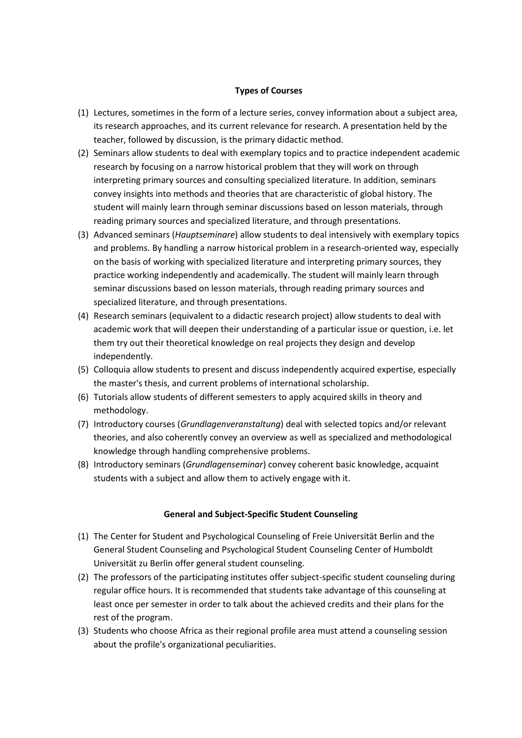#### **Types of Courses**

- (1) Lectures, sometimes in the form of a lecture series, convey information about a subject area, its research approaches, and its current relevance for research. A presentation held by the teacher, followed by discussion, is the primary didactic method.
- (2) Seminars allow students to deal with exemplary topics and to practice independent academic research by focusing on a narrow historical problem that they will work on through interpreting primary sources and consulting specialized literature. In addition, seminars convey insights into methods and theories that are characteristic of global history. The student will mainly learn through seminar discussions based on lesson materials, through reading primary sources and specialized literature, and through presentations.
- (3) Advanced seminars (*Hauptseminare*) allow students to deal intensively with exemplary topics and problems. By handling a narrow historical problem in a research-oriented way, especially on the basis of working with specialized literature and interpreting primary sources, they practice working independently and academically. The student will mainly learn through seminar discussions based on lesson materials, through reading primary sources and specialized literature, and through presentations.
- (4) Research seminars (equivalent to a didactic research project) allow students to deal with academic work that will deepen their understanding of a particular issue or question, i.e. let them try out their theoretical knowledge on real projects they design and develop independently.
- (5) Colloquia allow students to present and discuss independently acquired expertise, especially the master's thesis, and current problems of international scholarship.
- (6) Tutorials allow students of different semesters to apply acquired skills in theory and methodology.
- (7) Introductory courses (*Grundlagenveranstaltung*) deal with selected topics and/or relevant theories, and also coherently convey an overview as well as specialized and methodological knowledge through handling comprehensive problems.
- (8) Introductory seminars (*Grundlagenseminar*) convey coherent basic knowledge, acquaint students with a subject and allow them to actively engage with it.

#### **General and Subject-Specific Student Counseling**

- (1) The Center for Student and Psychological Counseling of Freie Universität Berlin and the General Student Counseling and Psychological Student Counseling Center of Humboldt Universität zu Berlin offer general student counseling.
- (2) The professors of the participating institutes offer subject-specific student counseling during regular office hours. It is recommended that students take advantage of this counseling at least once per semester in order to talk about the achieved credits and their plans for the rest of the program.
- (3) Students who choose Africa as their regional profile area must attend a counseling session about the profile's organizational peculiarities.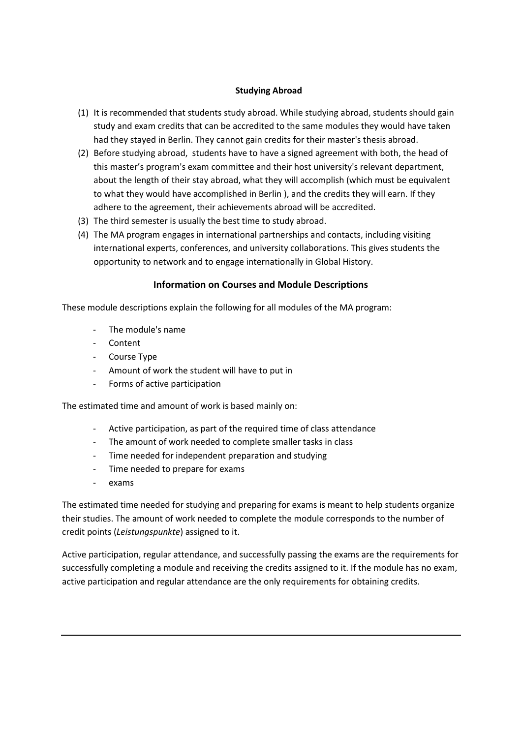# **Studying Abroad**

- (1) It is recommended that students study abroad. While studying abroad, students should gain study and exam credits that can be accredited to the same modules they would have taken had they stayed in Berlin. They cannot gain credits for their master's thesis abroad.
- (2) Before studying abroad, students have to have a signed agreement with both, the head of this master's program's exam committee and their host university's relevant department, about the length of their stay abroad, what they will accomplish (which must be equivalent to what they would have accomplished in Berlin ), and the credits they will earn. If they adhere to the agreement, their achievements abroad will be accredited.
- (3) The third semester is usually the best time to study abroad.
- (4) The MA program engages in international partnerships and contacts, including visiting international experts, conferences, and university collaborations. This gives students the opportunity to network and to engage internationally in Global History.

# **Information on Courses and Module Descriptions**

These module descriptions explain the following for all modules of the MA program:

- The module's name
- **Content**
- Course Type
- Amount of work the student will have to put in
- Forms of active participation

The estimated time and amount of work is based mainly on:

- Active participation, as part of the required time of class attendance
- The amount of work needed to complete smaller tasks in class
- Time needed for independent preparation and studying
- Time needed to prepare for exams
- exams

The estimated time needed for studying and preparing for exams is meant to help students organize their studies. The amount of work needed to complete the module corresponds to the number of credit points (*Leistungspunkte*) assigned to it.

Active participation, regular attendance, and successfully passing the exams are the requirements for successfully completing a module and receiving the credits assigned to it. If the module has no exam, active participation and regular attendance are the only requirements for obtaining credits.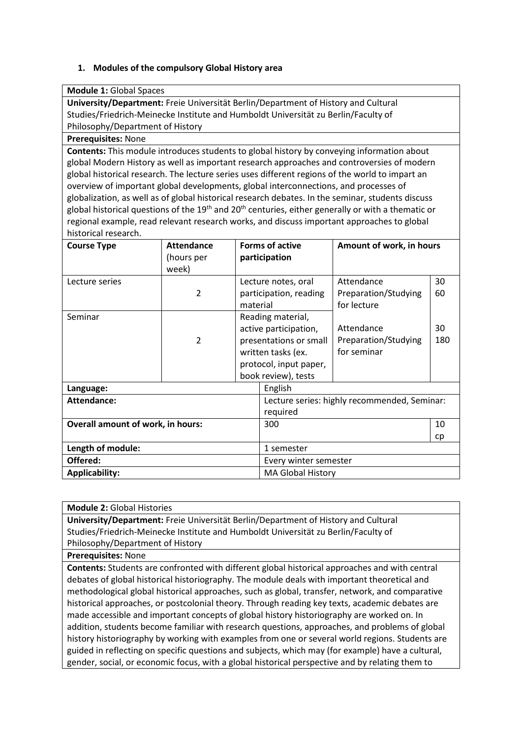# **1. Modules of the compulsory Global History area**

**Module 1:** Global Spaces

**University/Department:** Freie Universität Berlin/Department of History and Cultural Studies/Friedrich-Meinecke Institute and Humboldt Universität zu Berlin/Faculty of Philosophy/Department of History

#### **Prerequisites:** None

**Contents:** This module introduces students to global history by conveying information about global Modern History as well as important research approaches and controversies of modern global historical research. The lecture series uses different regions of the world to impart an overview of important global developments, global interconnections, and processes of globalization, as well as of global historical research debates. In the seminar, students discuss global historical questions of the  $19<sup>th</sup>$  and  $20<sup>th</sup>$  centuries, either generally or with a thematic or regional example, read relevant research works, and discuss important approaches to global historical research.

| <b>Course Type</b>                       | <b>Attendance</b><br>(hours per<br>week) |                       | <b>Forms of active</b><br>participation                                                                                                     | Amount of work, in hours                          |           |
|------------------------------------------|------------------------------------------|-----------------------|---------------------------------------------------------------------------------------------------------------------------------------------|---------------------------------------------------|-----------|
| Lecture series                           | 2                                        | material              | Lecture notes, oral<br>participation, reading                                                                                               | Attendance<br>Preparation/Studying<br>for lecture | 30<br>60  |
| Seminar                                  | 2                                        |                       | Reading material,<br>active participation,<br>presentations or small<br>written tasks (ex.<br>protocol, input paper,<br>book review), tests | Attendance<br>Preparation/Studying<br>for seminar | 30<br>180 |
| Language:                                |                                          |                       | English                                                                                                                                     |                                                   |           |
| Attendance:                              |                                          |                       | required                                                                                                                                    | Lecture series: highly recommended, Seminar:      |           |
| <b>Overall amount of work, in hours:</b> |                                          |                       | 300                                                                                                                                         |                                                   | 10        |
| Length of module:                        |                                          |                       | 1 semester                                                                                                                                  |                                                   | cp        |
| Offered:                                 |                                          | Every winter semester |                                                                                                                                             |                                                   |           |
| <b>Applicability:</b>                    |                                          |                       | <b>MA Global History</b>                                                                                                                    |                                                   |           |

**Module 2:** Global Histories **University/Department:** Freie Universität Berlin/Department of History and Cultural Studies/Friedrich-Meinecke Institute and Humboldt Universität zu Berlin/Faculty of Philosophy/Department of History

**Prerequisites:** None

**Contents:** Students are confronted with different global historical approaches and with central debates of global historical historiography. The module deals with important theoretical and methodological global historical approaches, such as global, transfer, network, and comparative historical approaches, or postcolonial theory. Through reading key texts, academic debates are made accessible and important concepts of global history historiography are worked on. In addition, students become familiar with research questions, approaches, and problems of global history historiography by working with examples from one or several world regions. Students are guided in reflecting on specific questions and subjects, which may (for example) have a cultural, gender, social, or economic focus, with a global historical perspective and by relating them to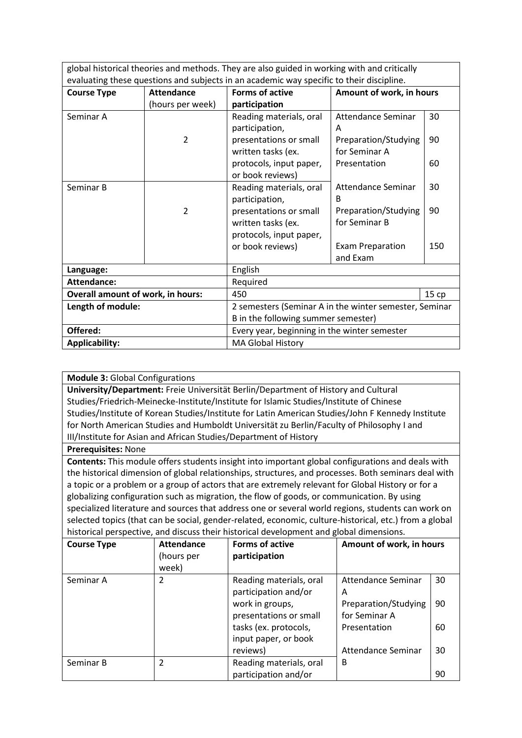global historical theories and methods. They are also guided in working with and critically evaluating these questions and subjects in an academic way specific to their discipline.

| <b>Course Type</b>                       | <b>Attendance</b> | Forms of active                                        | Amount of work, in hours  |     |  |  |
|------------------------------------------|-------------------|--------------------------------------------------------|---------------------------|-----|--|--|
|                                          | (hours per week)  | participation                                          |                           |     |  |  |
| Seminar A                                |                   | Reading materials, oral                                | <b>Attendance Seminar</b> | 30  |  |  |
|                                          |                   | participation,                                         | A                         |     |  |  |
|                                          | 2                 | presentations or small                                 | Preparation/Studying      | 90  |  |  |
|                                          |                   | written tasks (ex.                                     | for Seminar A             |     |  |  |
|                                          |                   | protocols, input paper,                                | Presentation              | 60  |  |  |
|                                          |                   | or book reviews)                                       |                           |     |  |  |
| Seminar B                                |                   | Reading materials, oral                                | <b>Attendance Seminar</b> | 30  |  |  |
|                                          |                   | participation,                                         | <sub>B</sub>              |     |  |  |
|                                          | 2                 | presentations or small                                 | Preparation/Studying      | 90  |  |  |
|                                          |                   | written tasks (ex.                                     | for Seminar B             |     |  |  |
|                                          |                   | protocols, input paper,                                |                           |     |  |  |
|                                          |                   | or book reviews)                                       | <b>Exam Preparation</b>   | 150 |  |  |
|                                          |                   |                                                        | and Exam                  |     |  |  |
| Language:                                |                   | English                                                |                           |     |  |  |
| <b>Attendance:</b>                       |                   | Required                                               |                           |     |  |  |
| <b>Overall amount of work, in hours:</b> |                   | 450<br>15 cp                                           |                           |     |  |  |
| Length of module:                        |                   | 2 semesters (Seminar A in the winter semester, Seminar |                           |     |  |  |
|                                          |                   | B in the following summer semester)                    |                           |     |  |  |
| Offered:                                 |                   | Every year, beginning in the winter semester           |                           |     |  |  |
| <b>Applicability:</b>                    |                   | MA Global History                                      |                           |     |  |  |

**University/Department:** Freie Universität Berlin/Department of History and Cultural Studies/Friedrich-Meinecke-Institute/Institute for Islamic Studies/Institute of Chinese Studies/Institute of Korean Studies/Institute for Latin American Studies/John F Kennedy Institute for North American Studies and Humboldt Universität zu Berlin/Faculty of Philosophy I and III/Institute for Asian and African Studies/Department of History

**Prerequisites:** None

**Contents:** This module offers students insight into important global configurations and deals with the historical dimension of global relationships, structures, and processes. Both seminars deal with a topic or a problem or a group of actors that are extremely relevant for Global History or for a globalizing configuration such as migration, the flow of goods, or communication. By using specialized literature and sources that address one or several world regions, students can work on selected topics (that can be social, gender-related, economic, culture-historical, etc.) from a global historical perspective, and discuss their historical development and global dimensions.

| <b>Course Type</b> | <b>Attendance</b><br>(hours per<br>week) | <b>Forms of active</b><br>participation                                                                               | Amount of work, in hours                                                                |                |
|--------------------|------------------------------------------|-----------------------------------------------------------------------------------------------------------------------|-----------------------------------------------------------------------------------------|----------------|
| Seminar A          | 2                                        | Reading materials, oral<br>participation and/or<br>work in groups,<br>presentations or small<br>tasks (ex. protocols, | <b>Attendance Seminar</b><br>A<br>Preparation/Studying<br>for Seminar A<br>Presentation | 30<br>90<br>60 |
|                    |                                          | input paper, or book<br>reviews)                                                                                      | Attendance Seminar                                                                      | 30             |
| Seminar B          | $\overline{2}$                           | Reading materials, oral<br>participation and/or                                                                       | B                                                                                       | 90             |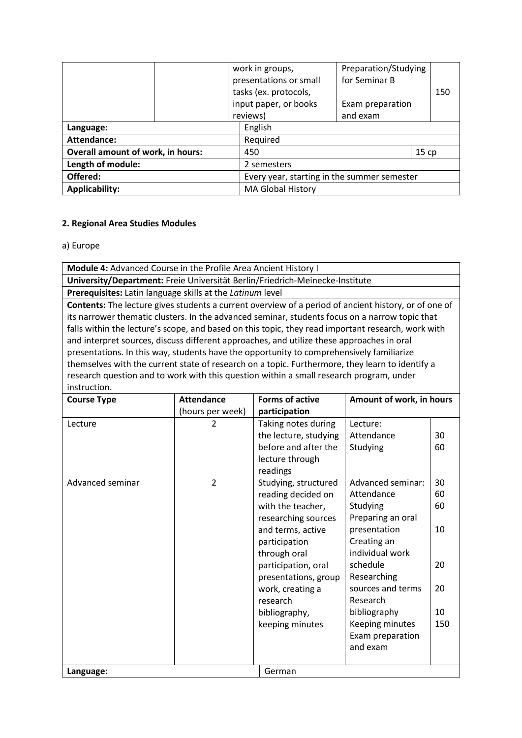|                                          |          |                                             | work in groups,<br>presentations or small | Preparation/Studying<br>for Seminar B |  |     |  |
|------------------------------------------|----------|---------------------------------------------|-------------------------------------------|---------------------------------------|--|-----|--|
|                                          |          |                                             | tasks (ex. protocols,                     |                                       |  | 150 |  |
|                                          |          |                                             | input paper, or books                     | Exam preparation                      |  |     |  |
|                                          |          |                                             | reviews)                                  | and exam                              |  |     |  |
| Language:                                |          | English                                     |                                           |                                       |  |     |  |
| Attendance:                              | Required |                                             |                                           |                                       |  |     |  |
| <b>Overall amount of work, in hours:</b> |          |                                             | 15cp<br>450                               |                                       |  |     |  |
| Length of module:                        |          | 2 semesters                                 |                                           |                                       |  |     |  |
| Offered:                                 |          | Every year, starting in the summer semester |                                           |                                       |  |     |  |
| <b>Applicability:</b>                    |          | MA Global History                           |                                           |                                       |  |     |  |

# **2. Regional Area Studies Modules**

### a) Europe

**Module 4:** Advanced Course in the Profile Area Ancient History I

**University/Department:** Freie Universität Berlin/Friedrich-Meinecke-Institute

**Prerequisites:** Latin language skills at the *Latinum* level

**Contents:** The lecture gives students a current overview of a period of ancient history, or of one of its narrower thematic clusters. In the advanced seminar, students focus on a narrow topic that falls within the lecture's scope, and based on this topic, they read important research, work with and interpret sources, discuss different approaches, and utilize these approaches in oral presentations. In this way, students have the opportunity to comprehensively familiarize themselves with the current state of research on a topic. Furthermore, they learn to identify a research question and to work with this question within a small research program, under instruction.

| <b>Course Type</b> | <b>Attendance</b> | <b>Forms of active</b> | Amount of work, in hours |     |
|--------------------|-------------------|------------------------|--------------------------|-----|
|                    | (hours per week)  | participation          |                          |     |
| Lecture            | 2                 | Taking notes during    | Lecture:                 |     |
|                    |                   | the lecture, studying  | Attendance               | 30  |
|                    |                   | before and after the   | Studying                 | 60  |
|                    |                   | lecture through        |                          |     |
|                    |                   | readings               |                          |     |
| Advanced seminar   | 2                 | Studying, structured   | Advanced seminar:        | 30  |
|                    |                   | reading decided on     | Attendance               | 60  |
|                    |                   | with the teacher,      | Studying                 | 60  |
|                    |                   | researching sources    | Preparing an oral        |     |
|                    |                   | and terms, active      | presentation             | 10  |
|                    |                   | participation          | Creating an              |     |
|                    |                   | through oral           | individual work          |     |
|                    |                   | participation, oral    | schedule                 | 20  |
|                    |                   | presentations, group   | Researching              |     |
|                    |                   | work, creating a       | sources and terms        | 20  |
|                    |                   | research               | Research                 |     |
|                    |                   | bibliography,          | bibliography             | 10  |
|                    |                   | keeping minutes        | Keeping minutes          | 150 |
|                    |                   |                        | Exam preparation         |     |
|                    |                   |                        | and exam                 |     |
|                    |                   |                        |                          |     |
| Language:          |                   | German                 |                          |     |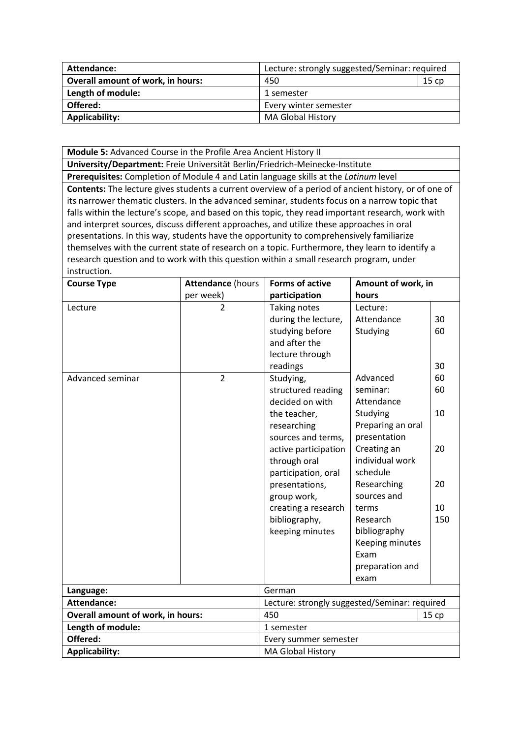| Attendance:                              | Lecture: strongly suggested/Seminar: required |  |  |
|------------------------------------------|-----------------------------------------------|--|--|
| <b>Overall amount of work, in hours:</b> | 450<br>15 cp                                  |  |  |
| Length of module:                        | 1 semester                                    |  |  |
| Offered:                                 | Every winter semester                         |  |  |
| Applicability:                           | <b>MA Global History</b>                      |  |  |

**Module 5:** Advanced Course in the Profile Area Ancient History II

**University/Department:** Freie Universität Berlin/Friedrich-Meinecke-Institute

**Prerequisites:** Completion of Module 4 and Latin language skills at the *Latinum* level

**Contents:** The lecture gives students a current overview of a period of ancient history, or of one of its narrower thematic clusters. In the advanced seminar, students focus on a narrow topic that falls within the lecture's scope, and based on this topic, they read important research, work with and interpret sources, discuss different approaches, and utilize these approaches in oral presentations. In this way, students have the opportunity to comprehensively familiarize themselves with the current state of research on a topic. Furthermore, they learn to identify a research question and to work with this question within a small research program, under instruction.

| <b>Course Type</b>                                            | <b>Attendance (hours</b>         | <b>Forms of active</b><br>Amount of work, in                                                                                                                                                                                                                                                                                                                                 |                                                                                                                                                                                                                                                                                          |                                                           |
|---------------------------------------------------------------|----------------------------------|------------------------------------------------------------------------------------------------------------------------------------------------------------------------------------------------------------------------------------------------------------------------------------------------------------------------------------------------------------------------------|------------------------------------------------------------------------------------------------------------------------------------------------------------------------------------------------------------------------------------------------------------------------------------------|-----------------------------------------------------------|
|                                                               | per week)                        | participation                                                                                                                                                                                                                                                                                                                                                                | hours                                                                                                                                                                                                                                                                                    |                                                           |
| Lecture<br>Advanced seminar                                   | $\overline{2}$<br>$\overline{2}$ | Taking notes<br>during the lecture,<br>studying before<br>and after the<br>lecture through<br>readings<br>Studying,<br>structured reading<br>decided on with<br>the teacher,<br>researching<br>sources and terms,<br>active participation<br>through oral<br>participation, oral<br>presentations,<br>group work,<br>creating a research<br>bibliography,<br>keeping minutes | Lecture:<br>Attendance<br>Studying<br>Advanced<br>seminar:<br>Attendance<br>Studying<br>Preparing an oral<br>presentation<br>Creating an<br>individual work<br>schedule<br>Researching<br>sources and<br>terms<br>Research<br>bibliography<br>Keeping minutes<br>Exam<br>preparation and | 30<br>60<br>30<br>60<br>60<br>10<br>20<br>20<br>10<br>150 |
| Language:                                                     |                                  | German                                                                                                                                                                                                                                                                                                                                                                       | exam                                                                                                                                                                                                                                                                                     |                                                           |
|                                                               |                                  |                                                                                                                                                                                                                                                                                                                                                                              |                                                                                                                                                                                                                                                                                          |                                                           |
| <b>Attendance:</b>                                            |                                  | Lecture: strongly suggested/Seminar: required                                                                                                                                                                                                                                                                                                                                |                                                                                                                                                                                                                                                                                          |                                                           |
| <b>Overall amount of work, in hours:</b><br>Length of module: |                                  | 450<br>1 semester                                                                                                                                                                                                                                                                                                                                                            |                                                                                                                                                                                                                                                                                          | 15 cp                                                     |
| Offered:                                                      |                                  |                                                                                                                                                                                                                                                                                                                                                                              |                                                                                                                                                                                                                                                                                          |                                                           |
|                                                               |                                  | Every summer semester                                                                                                                                                                                                                                                                                                                                                        |                                                                                                                                                                                                                                                                                          |                                                           |
| <b>Applicability:</b><br><b>MA Global History</b>             |                                  |                                                                                                                                                                                                                                                                                                                                                                              |                                                                                                                                                                                                                                                                                          |                                                           |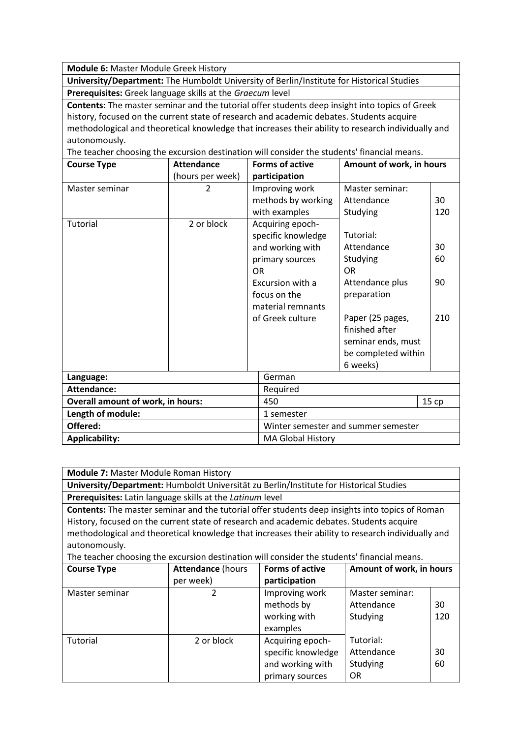**Module 6:** Master Module Greek History

**University/Department:** The Humboldt University of Berlin/Institute for Historical Studies **Prerequisites:** Greek language skills at the *Graecum* level

**Contents:** The master seminar and the tutorial offer students deep insight into topics of Greek history, focused on the current state of research and academic debates. Students acquire methodological and theoretical knowledge that increases their ability to research individually and autonomously.

The teacher choosing the excursion destination will consider the students' financial means.

| <b>Course Type</b>                | <b>Attendance</b> | <b>Forms of active</b>                                                                                                                                                  | Amount of work, in hours                                                                                                                                                          |                       |
|-----------------------------------|-------------------|-------------------------------------------------------------------------------------------------------------------------------------------------------------------------|-----------------------------------------------------------------------------------------------------------------------------------------------------------------------------------|-----------------------|
|                                   | (hours per week)  | participation                                                                                                                                                           |                                                                                                                                                                                   |                       |
| Master seminar                    | $\overline{2}$    | Improving work<br>methods by working<br>with examples                                                                                                                   | Master seminar:<br>Attendance<br>Studying                                                                                                                                         | 30<br>120             |
| Tutorial                          | 2 or block        | Acquiring epoch-<br>specific knowledge<br>and working with<br>primary sources<br><b>OR</b><br>Excursion with a<br>focus on the<br>material remnants<br>of Greek culture | Tutorial:<br>Attendance<br>Studying<br><b>OR</b><br>Attendance plus<br>preparation<br>Paper (25 pages,<br>finished after<br>seminar ends, must<br>be completed within<br>6 weeks) | 30<br>60<br>90<br>210 |
| Language:                         |                   | German                                                                                                                                                                  |                                                                                                                                                                                   |                       |
| <b>Attendance:</b>                |                   | Required                                                                                                                                                                |                                                                                                                                                                                   |                       |
| Overall amount of work, in hours: |                   | 450                                                                                                                                                                     |                                                                                                                                                                                   | 15 cp                 |
| Length of module:                 |                   | 1 semester                                                                                                                                                              |                                                                                                                                                                                   |                       |
| Offered:                          |                   | Winter semester and summer semester                                                                                                                                     |                                                                                                                                                                                   |                       |
| <b>Applicability:</b>             |                   | MA Global History                                                                                                                                                       |                                                                                                                                                                                   |                       |

**Module 7:** Master Module Roman History

**University/Department:** Humboldt Universität zu Berlin/Institute for Historical Studies **Prerequisites:** Latin language skills at the *Latinum* level

**Contents:** The master seminar and the tutorial offer students deep insights into topics of Roman History, focused on the current state of research and academic debates. Students acquire methodological and theoretical knowledge that increases their ability to research individually and autonomously.

The teacher choosing the excursion destination will consider the students' financial means.

| <b>Course Type</b> | <b>Attendance (hours</b> | <b>Forms of active</b> | Amount of work, in hours |     |
|--------------------|--------------------------|------------------------|--------------------------|-----|
|                    | per week)                | participation          |                          |     |
| Master seminar     |                          | Improving work         | Master seminar:          |     |
|                    |                          | methods by             | Attendance               | 30  |
|                    |                          | working with           | Studying                 | 120 |
|                    |                          | examples               |                          |     |
| Tutorial           | 2 or block               | Acquiring epoch-       | Tutorial:                |     |
|                    |                          | specific knowledge     | Attendance               | 30  |
|                    |                          | and working with       | Studying                 | 60  |
|                    |                          | primary sources        | <b>OR</b>                |     |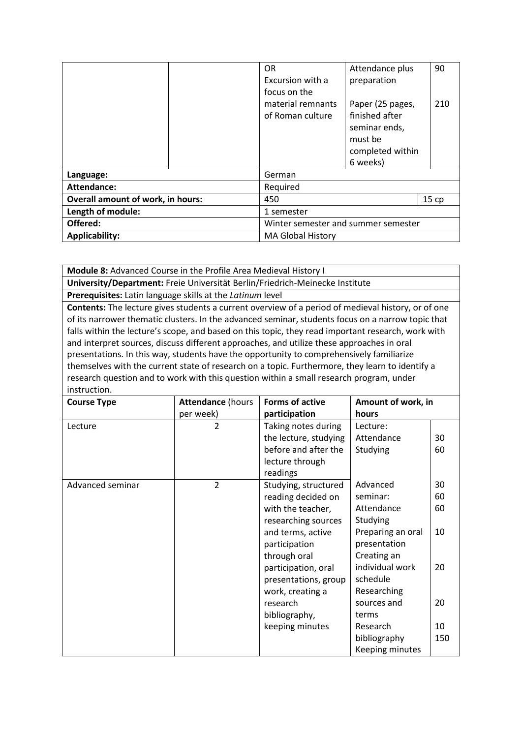|                                          |  | <b>OR</b><br>Excursion with a                         | Attendance plus<br>preparation                                                                 | 90   |
|------------------------------------------|--|-------------------------------------------------------|------------------------------------------------------------------------------------------------|------|
|                                          |  | focus on the<br>material remnants<br>of Roman culture | Paper (25 pages,<br>finished after<br>seminar ends,<br>must be<br>completed within<br>6 weeks) | 210  |
| Language:                                |  | German                                                |                                                                                                |      |
| Attendance:                              |  | Required                                              |                                                                                                |      |
| <b>Overall amount of work, in hours:</b> |  | 450                                                   |                                                                                                | 15cp |
| Length of module:                        |  | 1 semester                                            |                                                                                                |      |
| Offered:                                 |  | Winter semester and summer semester                   |                                                                                                |      |
| <b>Applicability:</b>                    |  | <b>MA Global History</b>                              |                                                                                                |      |

**Module 8:** Advanced Course in the Profile Area Medieval History I **University/Department:** Freie Universität Berlin/Friedrich-Meinecke Institute

**Prerequisites:** Latin language skills at the *Latinum* level

**Contents:** The lecture gives students a current overview of a period of medieval history, or of one of its narrower thematic clusters. In the advanced seminar, students focus on a narrow topic that falls within the lecture's scope, and based on this topic, they read important research, work with and interpret sources, discuss different approaches, and utilize these approaches in oral presentations. In this way, students have the opportunity to comprehensively familiarize themselves with the current state of research on a topic. Furthermore, they learn to identify a research question and to work with this question within a small research program, under instruction.

| <b>Course Type</b> | <b>Attendance (hours</b> | <b>Forms of active</b> | Amount of work, in |     |
|--------------------|--------------------------|------------------------|--------------------|-----|
|                    | per week)                | participation          | hours              |     |
| Lecture            | $\overline{2}$           | Taking notes during    | Lecture:           |     |
|                    |                          | the lecture, studying  | Attendance         | 30  |
|                    |                          | before and after the   | Studying           | 60  |
|                    |                          | lecture through        |                    |     |
|                    |                          | readings               |                    |     |
| Advanced seminar   | $\overline{2}$           | Studying, structured   | Advanced           | 30  |
|                    |                          | reading decided on     | seminar:           | 60  |
|                    |                          | with the teacher,      | Attendance         | 60  |
|                    |                          | researching sources    | Studying           |     |
|                    |                          | and terms, active      | Preparing an oral  | 10  |
|                    |                          | participation          | presentation       |     |
|                    |                          | through oral           | Creating an        |     |
|                    |                          | participation, oral    | individual work    | 20  |
|                    |                          | presentations, group   | schedule           |     |
|                    |                          | work, creating a       | Researching        |     |
|                    |                          | research               | sources and        | 20  |
|                    |                          | bibliography,          | terms              |     |
|                    |                          | keeping minutes        | Research           | 10  |
|                    |                          |                        | bibliography       | 150 |
|                    |                          |                        | Keeping minutes    |     |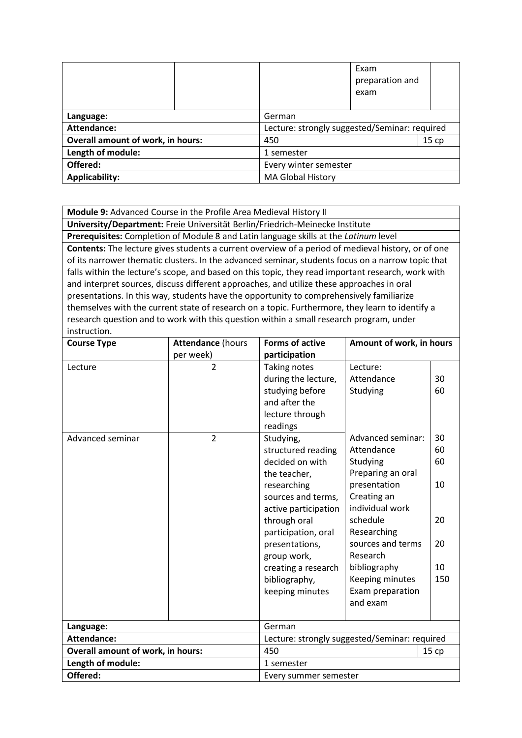|                                            |     |                                               | Exam<br>preparation and<br>exam |  |
|--------------------------------------------|-----|-----------------------------------------------|---------------------------------|--|
| Language:                                  |     | German                                        |                                 |  |
| Attendance:                                |     | Lecture: strongly suggested/Seminar: required |                                 |  |
| <b>Overall amount of work, in hours:</b>   | 450 |                                               | 15cp                            |  |
| Length of module:                          |     | 1 semester                                    |                                 |  |
| Offered:                                   |     | Every winter semester                         |                                 |  |
| Applicability:<br><b>MA Global History</b> |     |                                               |                                 |  |

**Module 9:** Advanced Course in the Profile Area Medieval History II

**University/Department:** Freie Universität Berlin/Friedrich-Meinecke Institute **Prerequisites:** Completion of Module 8 and Latin language skills at the *Latinum* level **Contents:** The lecture gives students a current overview of a period of medieval history, or of one of its narrower thematic clusters. In the advanced seminar, students focus on a narrow topic that falls within the lecture's scope, and based on this topic, they read important research, work with and interpret sources, discuss different approaches, and utilize these approaches in oral presentations. In this way, students have the opportunity to comprehensively familiarize themselves with the current state of research on a topic. Furthermore, they learn to identify a research question and to work with this question within a small research program, under instruction.

| <b>Course Type</b>                              | <b>Attendance (hours</b>                      | <b>Forms of active</b>                                                                                                                                                                                                                                                                                                                                                              | Amount of work, in hours                                                                                                                                                                                                                                                    |                                                           |
|-------------------------------------------------|-----------------------------------------------|-------------------------------------------------------------------------------------------------------------------------------------------------------------------------------------------------------------------------------------------------------------------------------------------------------------------------------------------------------------------------------------|-----------------------------------------------------------------------------------------------------------------------------------------------------------------------------------------------------------------------------------------------------------------------------|-----------------------------------------------------------|
|                                                 | per week)                                     | participation                                                                                                                                                                                                                                                                                                                                                                       |                                                                                                                                                                                                                                                                             |                                                           |
| Lecture<br>Advanced seminar                     | $\overline{2}$<br>$\overline{2}$              | <b>Taking notes</b><br>during the lecture,<br>studying before<br>and after the<br>lecture through<br>readings<br>Studying,<br>structured reading<br>decided on with<br>the teacher,<br>researching<br>sources and terms,<br>active participation<br>through oral<br>participation, oral<br>presentations,<br>group work,<br>creating a research<br>bibliography,<br>keeping minutes | Lecture:<br>Attendance<br>Studying<br>Advanced seminar:<br>Attendance<br>Studying<br>Preparing an oral<br>presentation<br>Creating an<br>individual work<br>schedule<br>Researching<br>sources and terms<br>Research<br>bibliography<br>Keeping minutes<br>Exam preparation | 30<br>60<br>30<br>60<br>60<br>10<br>20<br>20<br>10<br>150 |
|                                                 |                                               |                                                                                                                                                                                                                                                                                                                                                                                     | and exam                                                                                                                                                                                                                                                                    |                                                           |
| Language:                                       | German                                        |                                                                                                                                                                                                                                                                                                                                                                                     |                                                                                                                                                                                                                                                                             |                                                           |
| <b>Attendance:</b>                              | Lecture: strongly suggested/Seminar: required |                                                                                                                                                                                                                                                                                                                                                                                     |                                                                                                                                                                                                                                                                             |                                                           |
| <b>Overall amount of work, in hours:</b><br>450 |                                               |                                                                                                                                                                                                                                                                                                                                                                                     |                                                                                                                                                                                                                                                                             | 15cp                                                      |
| Length of module:                               |                                               | 1 semester                                                                                                                                                                                                                                                                                                                                                                          |                                                                                                                                                                                                                                                                             |                                                           |
| Offered:                                        |                                               | Every summer semester                                                                                                                                                                                                                                                                                                                                                               |                                                                                                                                                                                                                                                                             |                                                           |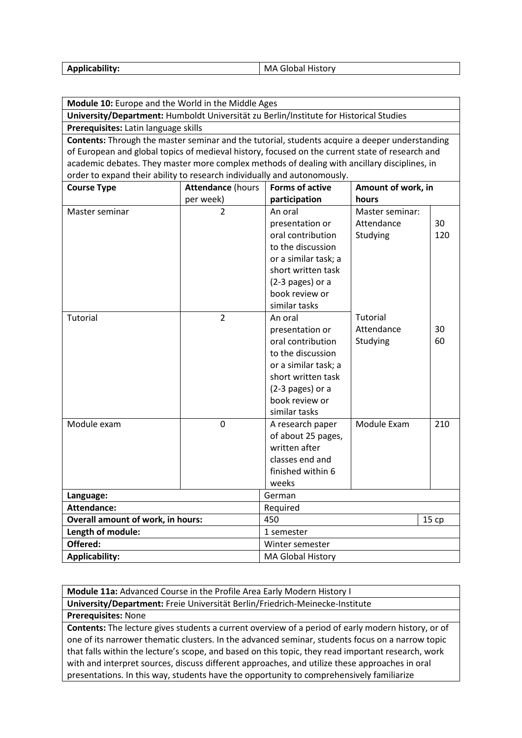| <b>Applicability:</b> | MA Global History |
|-----------------------|-------------------|
|-----------------------|-------------------|

**Module 10:** Europe and the World in the Middle Ages

**University/Department:** Humboldt Universität zu Berlin/Institute for Historical Studies **Prerequisites:** Latin language skills

**Contents:** Through the master seminar and the tutorial, students acquire a deeper understanding of European and global topics of medieval history, focused on the current state of research and academic debates. They master more complex methods of dealing with ancillary disciplines, in order to expand their ability to research individually and autonomously.

| <b>Course Type</b>                       | <b>Attendance (hours</b> | <b>Forms of active</b> | Amount of work, in |       |
|------------------------------------------|--------------------------|------------------------|--------------------|-------|
|                                          | per week)                | participation          | hours              |       |
| Master seminar                           | $\overline{2}$           | An oral                | Master seminar:    |       |
|                                          |                          | presentation or        | Attendance         | 30    |
|                                          |                          | oral contribution      | Studying           | 120   |
|                                          |                          | to the discussion      |                    |       |
|                                          |                          | or a similar task; a   |                    |       |
|                                          |                          | short written task     |                    |       |
|                                          |                          | (2-3 pages) or a       |                    |       |
|                                          |                          | book review or         |                    |       |
|                                          |                          | similar tasks          |                    |       |
| <b>Tutorial</b>                          | $\overline{2}$           | An oral                | Tutorial           |       |
|                                          |                          | presentation or        | Attendance         | 30    |
|                                          |                          | oral contribution      | Studying           | 60    |
|                                          |                          | to the discussion      |                    |       |
|                                          |                          | or a similar task; a   |                    |       |
|                                          |                          | short written task     |                    |       |
|                                          |                          | (2-3 pages) or a       |                    |       |
|                                          |                          | book review or         |                    |       |
|                                          |                          | similar tasks          |                    |       |
| Module exam                              | $\mathbf 0$              | A research paper       | Module Exam        | 210   |
|                                          |                          | of about 25 pages,     |                    |       |
|                                          |                          | written after          |                    |       |
|                                          |                          | classes end and        |                    |       |
|                                          |                          | finished within 6      |                    |       |
|                                          |                          | weeks                  |                    |       |
| Language:                                |                          | German                 |                    |       |
| Attendance:                              |                          | Required               |                    |       |
| <b>Overall amount of work, in hours:</b> |                          | 450                    |                    | 15 cp |
| Length of module:                        |                          | 1 semester             |                    |       |
| Offered:                                 |                          | Winter semester        |                    |       |
| <b>Applicability:</b>                    |                          | MA Global History      |                    |       |

**Module 11a:** Advanced Course in the Profile Area Early Modern History I **University/Department:** Freie Universität Berlin/Friedrich-Meinecke-Institute

**Prerequisites:** None

**Contents:** The lecture gives students a current overview of a period of early modern history, or of one of its narrower thematic clusters. In the advanced seminar, students focus on a narrow topic that falls within the lecture's scope, and based on this topic, they read important research, work with and interpret sources, discuss different approaches, and utilize these approaches in oral presentations. In this way, students have the opportunity to comprehensively familiarize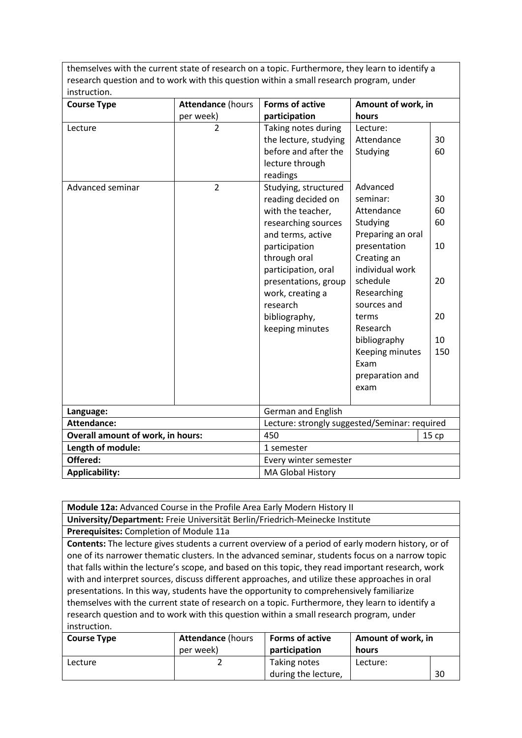themselves with the current state of research on a topic. Furthermore, they learn to identify a research question and to work with this question within a small research program, under instruction.

| <b>Course Type</b>                       | <b>Attendance (hours</b>                      | <b>Forms of active</b>                                                                                                                                                                                                                                                                                                                                                 | Amount of work, in                                                                                                                                                                                                                                                                               |                                                           |
|------------------------------------------|-----------------------------------------------|------------------------------------------------------------------------------------------------------------------------------------------------------------------------------------------------------------------------------------------------------------------------------------------------------------------------------------------------------------------------|--------------------------------------------------------------------------------------------------------------------------------------------------------------------------------------------------------------------------------------------------------------------------------------------------|-----------------------------------------------------------|
|                                          | per week)                                     | participation                                                                                                                                                                                                                                                                                                                                                          | hours                                                                                                                                                                                                                                                                                            |                                                           |
| Lecture<br>Advanced seminar              | $\overline{2}$<br>$\overline{2}$              | Taking notes during<br>the lecture, studying<br>before and after the<br>lecture through<br>readings<br>Studying, structured<br>reading decided on<br>with the teacher,<br>researching sources<br>and terms, active<br>participation<br>through oral<br>participation, oral<br>presentations, group<br>work, creating a<br>research<br>bibliography,<br>keeping minutes | Lecture:<br>Attendance<br>Studying<br>Advanced<br>seminar:<br>Attendance<br>Studying<br>Preparing an oral<br>presentation<br>Creating an<br>individual work<br>schedule<br>Researching<br>sources and<br>terms<br>Research<br>bibliography<br>Keeping minutes<br>Exam<br>preparation and<br>exam | 30<br>60<br>30<br>60<br>60<br>10<br>20<br>20<br>10<br>150 |
|                                          |                                               |                                                                                                                                                                                                                                                                                                                                                                        |                                                                                                                                                                                                                                                                                                  |                                                           |
| Language:                                |                                               | <b>German and English</b>                                                                                                                                                                                                                                                                                                                                              |                                                                                                                                                                                                                                                                                                  |                                                           |
| <b>Attendance:</b>                       | Lecture: strongly suggested/Seminar: required |                                                                                                                                                                                                                                                                                                                                                                        |                                                                                                                                                                                                                                                                                                  |                                                           |
| <b>Overall amount of work, in hours:</b> |                                               | 450                                                                                                                                                                                                                                                                                                                                                                    |                                                                                                                                                                                                                                                                                                  | 15cp                                                      |
| Length of module:                        |                                               | 1 semester                                                                                                                                                                                                                                                                                                                                                             |                                                                                                                                                                                                                                                                                                  |                                                           |
| Offered:                                 |                                               | Every winter semester                                                                                                                                                                                                                                                                                                                                                  |                                                                                                                                                                                                                                                                                                  |                                                           |
| <b>Applicability:</b>                    |                                               | <b>MA Global History</b>                                                                                                                                                                                                                                                                                                                                               |                                                                                                                                                                                                                                                                                                  |                                                           |

**Module 12a:** Advanced Course in the Profile Area Early Modern History II

**University/Department:** Freie Universität Berlin/Friedrich-Meinecke Institute

**Prerequisites:** Completion of Module 11a

**Contents:** The lecture gives students a current overview of a period of early modern history, or of one of its narrower thematic clusters. In the advanced seminar, students focus on a narrow topic that falls within the lecture's scope, and based on this topic, they read important research, work with and interpret sources, discuss different approaches, and utilize these approaches in oral presentations. In this way, students have the opportunity to comprehensively familiarize themselves with the current state of research on a topic. Furthermore, they learn to identify a research question and to work with this question within a small research program, under instruction.

| <b>Course Type</b> | <b>Attendance (hours</b> | <b>Forms of active</b>              | Amount of work, in |    |
|--------------------|--------------------------|-------------------------------------|--------------------|----|
|                    | per week)                | participation                       | hours              |    |
| Lecture            |                          | Taking notes<br>during the lecture, | Lecture:           | 30 |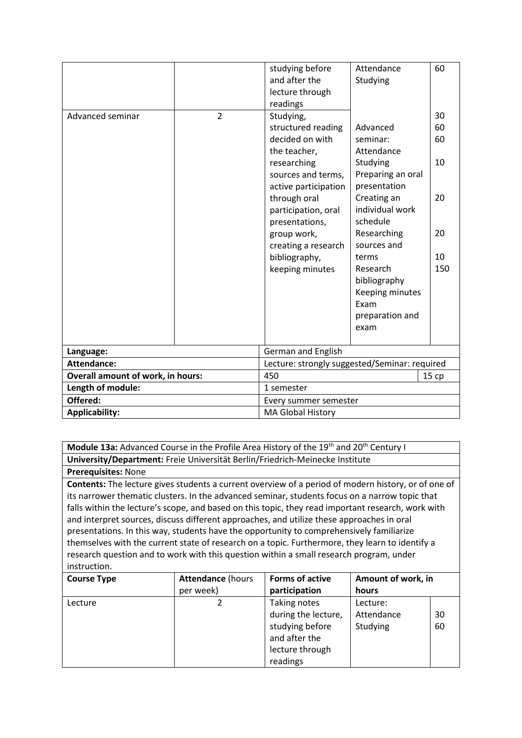|                                                   |                | studying before<br>and after the<br>lecture through<br>readings                                                                                                                                                                                                    | Attendance<br>Studying                                                                                                                                                                                                                                     | 60                                            |
|---------------------------------------------------|----------------|--------------------------------------------------------------------------------------------------------------------------------------------------------------------------------------------------------------------------------------------------------------------|------------------------------------------------------------------------------------------------------------------------------------------------------------------------------------------------------------------------------------------------------------|-----------------------------------------------|
| Advanced seminar                                  | $\overline{2}$ | Studying,<br>structured reading<br>decided on with<br>the teacher,<br>researching<br>sources and terms,<br>active participation<br>through oral<br>participation, oral<br>presentations,<br>group work,<br>creating a research<br>bibliography,<br>keeping minutes | Advanced<br>seminar:<br>Attendance<br>Studying<br>Preparing an oral<br>presentation<br>Creating an<br>individual work<br>schedule<br>Researching<br>sources and<br>terms<br>Research<br>bibliography<br>Keeping minutes<br>Exam<br>preparation and<br>exam | 30<br>60<br>60<br>10<br>20<br>20<br>10<br>150 |
| German and English<br>Language:                   |                |                                                                                                                                                                                                                                                                    |                                                                                                                                                                                                                                                            |                                               |
| Attendance:                                       |                | Lecture: strongly suggested/Seminar: required                                                                                                                                                                                                                      |                                                                                                                                                                                                                                                            |                                               |
| <b>Overall amount of work, in hours:</b>          |                | 450                                                                                                                                                                                                                                                                |                                                                                                                                                                                                                                                            | 15cp                                          |
| Length of module:                                 |                | 1 semester                                                                                                                                                                                                                                                         |                                                                                                                                                                                                                                                            |                                               |
| Offered:                                          |                | Every summer semester                                                                                                                                                                                                                                              |                                                                                                                                                                                                                                                            |                                               |
| <b>Applicability:</b><br><b>MA Global History</b> |                |                                                                                                                                                                                                                                                                    |                                                                                                                                                                                                                                                            |                                               |

**Module 13a:** Advanced Course in the Profile Area History of the 19<sup>th</sup> and 20<sup>th</sup> Century I **University/Department:** Freie Universität Berlin/Friedrich-Meinecke Institute

**Prerequisites:** None

**Contents:** The lecture gives students a current overview of a period of modern history, or of one of its narrower thematic clusters. In the advanced seminar, students focus on a narrow topic that falls within the lecture's scope, and based on this topic, they read important research, work with and interpret sources, discuss different approaches, and utilize these approaches in oral presentations. In this way, students have the opportunity to comprehensively familiarize themselves with the current state of research on a topic. Furthermore, they learn to identify a research question and to work with this question within a small research program, under instruction.

| <b>Course Type</b> | <b>Attendance (hours</b> | <b>Forms of active</b> | Amount of work, in |    |
|--------------------|--------------------------|------------------------|--------------------|----|
|                    | per week)                | participation          | hours              |    |
| Lecture            |                          | Taking notes           | Lecture:           |    |
|                    |                          | during the lecture,    | Attendance         | 30 |
|                    |                          | studying before        | Studying           | 60 |
|                    |                          | and after the          |                    |    |
|                    |                          | lecture through        |                    |    |
|                    |                          | readings               |                    |    |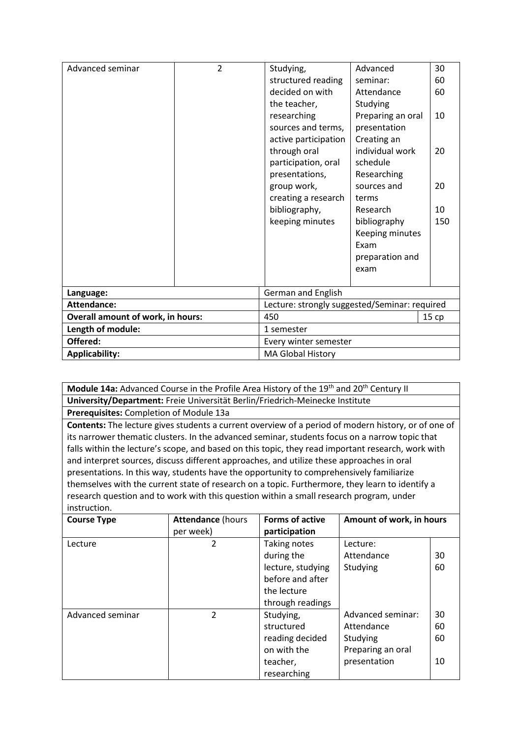| Advanced seminar                         | $\overline{2}$        | Studying,                                     | Advanced          | 30    |  |
|------------------------------------------|-----------------------|-----------------------------------------------|-------------------|-------|--|
|                                          |                       | structured reading<br>seminar:                |                   | 60    |  |
|                                          |                       | decided on with                               | Attendance        | 60    |  |
|                                          |                       | the teacher,                                  | Studying          |       |  |
|                                          |                       | researching                                   | Preparing an oral | 10    |  |
|                                          |                       | sources and terms,                            | presentation      |       |  |
|                                          |                       | active participation                          | Creating an       |       |  |
|                                          |                       | through oral                                  | individual work   | 20    |  |
|                                          |                       | participation, oral                           | schedule          |       |  |
|                                          |                       | presentations,                                | Researching       |       |  |
|                                          |                       | group work,<br>sources and                    |                   | 20    |  |
|                                          |                       | creating a research<br>terms                  |                   |       |  |
|                                          |                       | bibliography,<br>Research                     |                   | 10    |  |
|                                          |                       | keeping minutes<br>bibliography               |                   | 150   |  |
|                                          |                       | Keeping minutes                               |                   |       |  |
|                                          |                       | Exam                                          |                   |       |  |
|                                          |                       | preparation and                               |                   |       |  |
|                                          |                       |                                               | exam              |       |  |
|                                          |                       |                                               |                   |       |  |
| Language:                                |                       | <b>German and English</b>                     |                   |       |  |
| <b>Attendance:</b>                       |                       | Lecture: strongly suggested/Seminar: required |                   |       |  |
| <b>Overall amount of work, in hours:</b> |                       | 450                                           |                   | 15 ср |  |
| Length of module:                        |                       | 1 semester                                    |                   |       |  |
| Offered:                                 | Every winter semester |                                               |                   |       |  |
| <b>Applicability:</b>                    |                       | <b>MA Global History</b>                      |                   |       |  |

**Module 14a:** Advanced Course in the Profile Area History of the 19<sup>th</sup> and 20<sup>th</sup> Century II **University/Department:** Freie Universität Berlin/Friedrich-Meinecke Institute

**Prerequisites:** Completion of Module 13a

**Contents:** The lecture gives students a current overview of a period of modern history, or of one of its narrower thematic clusters. In the advanced seminar, students focus on a narrow topic that falls within the lecture's scope, and based on this topic, they read important research, work with and interpret sources, discuss different approaches, and utilize these approaches in oral presentations. In this way, students have the opportunity to comprehensively familiarize themselves with the current state of research on a topic. Furthermore, they learn to identify a research question and to work with this question within a small research program, under instruction.

| <b>Course Type</b> | <b>Attendance (hours</b><br>per week) | <b>Forms of active</b><br>participation | Amount of work, in hours |    |
|--------------------|---------------------------------------|-----------------------------------------|--------------------------|----|
| Lecture            | $\overline{2}$                        | Taking notes                            | Lecture:                 |    |
|                    |                                       | during the                              | Attendance               | 30 |
|                    |                                       | lecture, studying                       | Studying                 | 60 |
|                    |                                       | before and after                        |                          |    |
|                    |                                       | the lecture                             |                          |    |
|                    |                                       | through readings                        |                          |    |
| Advanced seminar   | $\overline{2}$                        | Studying,                               | Advanced seminar:        | 30 |
|                    |                                       | structured                              | Attendance               | 60 |
|                    |                                       | reading decided                         | Studying                 | 60 |
|                    |                                       | on with the                             | Preparing an oral        |    |
|                    |                                       | teacher,                                | presentation             | 10 |
|                    |                                       | researching                             |                          |    |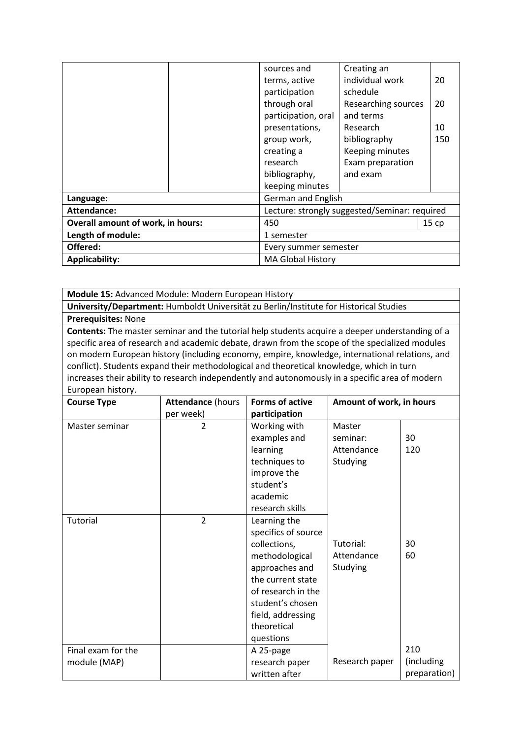|                                          |                       | sources and                                   | Creating an         |     |
|------------------------------------------|-----------------------|-----------------------------------------------|---------------------|-----|
|                                          |                       | terms, active                                 | individual work     | 20  |
|                                          |                       | participation                                 | schedule            |     |
|                                          |                       | through oral                                  | Researching sources | 20  |
|                                          |                       | participation, oral                           | and terms           |     |
|                                          |                       | presentations,                                | Research            | 10  |
|                                          |                       | group work,                                   | bibliography        | 150 |
|                                          |                       | creating a                                    | Keeping minutes     |     |
|                                          |                       | research                                      | Exam preparation    |     |
|                                          |                       | bibliography,                                 | and exam            |     |
|                                          |                       | keeping minutes                               |                     |     |
| Language:                                |                       | <b>German and English</b>                     |                     |     |
| Attendance:                              |                       | Lecture: strongly suggested/Seminar: required |                     |     |
| <b>Overall amount of work, in hours:</b> |                       | 450<br>15cp                                   |                     |     |
| Length of module:<br>1 semester          |                       |                                               |                     |     |
| Offered:                                 | Every summer semester |                                               |                     |     |
| <b>Applicability:</b>                    |                       | <b>MA Global History</b>                      |                     |     |

**Module 15:** Advanced Module: Modern European History

**University/Department:** Humboldt Universität zu Berlin/Institute for Historical Studies

**Prerequisites:** None

**Contents:** The master seminar and the tutorial help students acquire a deeper understanding of a specific area of research and academic debate, drawn from the scope of the specialized modules on modern European history (including economy, empire, knowledge, international relations, and conflict). Students expand their methodological and theoretical knowledge, which in turn increases their ability to research independently and autonomously in a specific area of modern European history.

| <b>Course Type</b> | <b>Attendance (hours</b> | <b>Forms of active</b> | Amount of work, in hours |              |
|--------------------|--------------------------|------------------------|--------------------------|--------------|
|                    | per week)                | participation          |                          |              |
| Master seminar     | $\overline{2}$           | Working with           | Master                   |              |
|                    |                          | examples and           | seminar:                 | 30           |
|                    |                          | learning               | Attendance               | 120          |
|                    |                          | techniques to          | Studying                 |              |
|                    |                          | improve the            |                          |              |
|                    |                          | student's              |                          |              |
|                    |                          | academic               |                          |              |
|                    |                          | research skills        |                          |              |
| <b>Tutorial</b>    | $\overline{2}$           | Learning the           |                          |              |
|                    |                          | specifics of source    |                          |              |
|                    |                          | collections,           | Tutorial:                | 30           |
|                    |                          | methodological         | Attendance               | 60           |
|                    |                          | approaches and         | Studying                 |              |
|                    |                          | the current state      |                          |              |
|                    |                          | of research in the     |                          |              |
|                    |                          | student's chosen       |                          |              |
|                    |                          | field, addressing      |                          |              |
|                    |                          | theoretical            |                          |              |
|                    |                          | questions              |                          | 210          |
| Final exam for the |                          | A 25-page              | Research paper           | (including   |
| module (MAP)       |                          | research paper         |                          |              |
|                    |                          | written after          |                          | preparation) |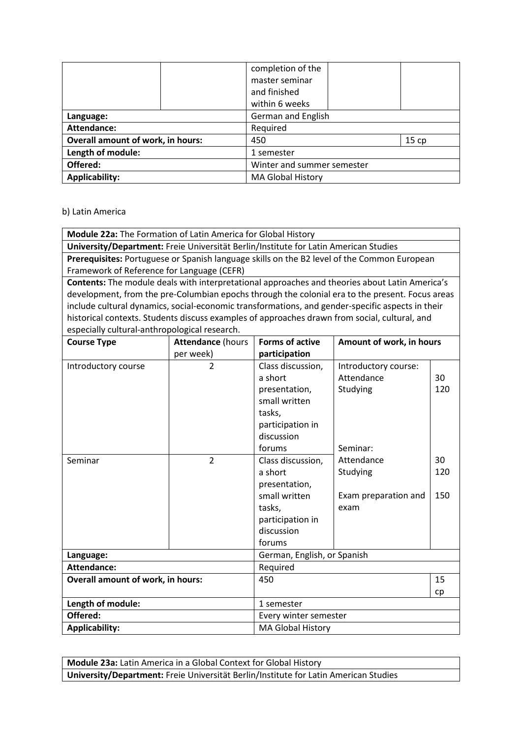|                                          |  | completion of the          |      |  |
|------------------------------------------|--|----------------------------|------|--|
|                                          |  | master seminar             |      |  |
|                                          |  | and finished               |      |  |
|                                          |  | within 6 weeks             |      |  |
| Language:                                |  | German and English         |      |  |
| Attendance:                              |  | Required                   |      |  |
| <b>Overall amount of work, in hours:</b> |  | 450                        | 15cp |  |
| Length of module:                        |  | 1 semester                 |      |  |
| Offered:                                 |  | Winter and summer semester |      |  |
| <b>Applicability:</b>                    |  | <b>MA Global History</b>   |      |  |

#### b) Latin America

**Module 22a:** The Formation of Latin America for Global History

**University/Department:** Freie Universität Berlin/Institute for Latin American Studies

**Prerequisites:** Portuguese or Spanish language skills on the B2 level of the Common European Framework of Reference for Language (CEFR)

**Contents:** The module deals with interpretational approaches and theories about Latin America's development, from the pre-Columbian epochs through the colonial era to the present. Focus areas include cultural dynamics, social-economic transformations, and gender-specific aspects in their historical contexts. Students discuss examples of approaches drawn from social, cultural, and especially cultural-anthropological research.

| <b>Course Type</b>                | <b>Attendance (hours</b> | <b>Forms of active</b>      | Amount of work, in hours |     |
|-----------------------------------|--------------------------|-----------------------------|--------------------------|-----|
|                                   | per week)                | participation               |                          |     |
| Introductory course               | $\overline{2}$           | Class discussion,           | Introductory course:     |     |
|                                   |                          | a short                     | Attendance               | 30  |
|                                   |                          | presentation,               | Studying                 | 120 |
|                                   |                          | small written               |                          |     |
|                                   |                          | tasks,                      |                          |     |
|                                   |                          | participation in            |                          |     |
|                                   |                          | discussion                  |                          |     |
|                                   |                          | forums                      | Seminar:                 |     |
| Seminar                           | $\overline{2}$           | Class discussion,           | Attendance               | 30  |
|                                   |                          | a short                     | Studying                 | 120 |
|                                   |                          | presentation,               |                          |     |
|                                   |                          | small written               | Exam preparation and     | 150 |
|                                   |                          | tasks,                      | exam                     |     |
|                                   |                          | participation in            |                          |     |
|                                   |                          | discussion                  |                          |     |
|                                   |                          | forums                      |                          |     |
| Language:                         |                          | German, English, or Spanish |                          |     |
| <b>Attendance:</b>                |                          | Required                    |                          |     |
| Overall amount of work, in hours: |                          | 450                         |                          | 15  |
|                                   |                          |                             |                          | cp  |
| Length of module:                 |                          | 1 semester                  |                          |     |
| Offered:                          |                          | Every winter semester       |                          |     |
| <b>Applicability:</b>             |                          | <b>MA Global History</b>    |                          |     |

**Module 23a:** Latin America in a Global Context for Global History **University/Department:** Freie Universität Berlin/Institute for Latin American Studies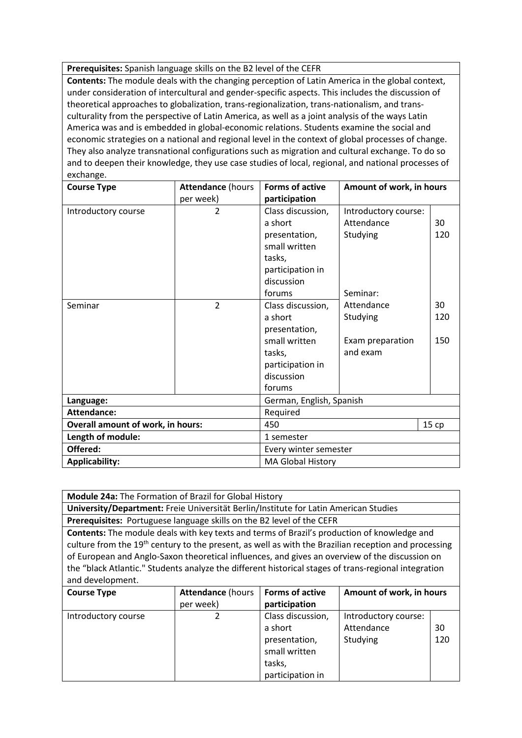**Prerequisites:** Spanish language skills on the B2 level of the CEFR

**Contents:** The module deals with the changing perception of Latin America in the global context, under consideration of intercultural and gender-specific aspects. This includes the discussion of theoretical approaches to globalization, trans-regionalization, trans-nationalism, and transculturality from the perspective of Latin America, as well as a joint analysis of the ways Latin America was and is embedded in global-economic relations. Students examine the social and economic strategies on a national and regional level in the context of global processes of change. They also analyze transnational configurations such as migration and cultural exchange. To do so and to deepen their knowledge, they use case studies of local, regional, and national processes of exchange.

| <b>Course Type</b>                | <b>Attendance (hours</b> | <b>Forms of active</b>   | Amount of work, in hours |      |
|-----------------------------------|--------------------------|--------------------------|--------------------------|------|
|                                   | per week)                | participation            |                          |      |
| Introductory course               | $\overline{2}$           | Class discussion,        | Introductory course:     |      |
|                                   |                          | a short                  | Attendance               | 30   |
|                                   |                          | presentation,            | Studying                 | 120  |
|                                   |                          | small written            |                          |      |
|                                   |                          | tasks,                   |                          |      |
|                                   |                          | participation in         |                          |      |
|                                   |                          | discussion               |                          |      |
|                                   |                          | forums                   | Seminar:                 |      |
| Seminar                           | $\overline{2}$           | Class discussion,        | Attendance               | 30   |
|                                   |                          | a short                  | Studying                 | 120  |
|                                   |                          | presentation,            |                          |      |
|                                   |                          | small written            | Exam preparation         | 150  |
|                                   |                          | tasks,                   | and exam                 |      |
|                                   |                          | participation in         |                          |      |
|                                   |                          | discussion               |                          |      |
|                                   |                          | forums                   |                          |      |
| Language:                         |                          | German, English, Spanish |                          |      |
| Attendance:                       |                          | Required                 |                          |      |
| Overall amount of work, in hours: |                          | 450                      |                          | 15cp |
| Length of module:                 |                          | 1 semester               |                          |      |
| Offered:                          |                          | Every winter semester    |                          |      |
| <b>Applicability:</b>             |                          | MA Global History        |                          |      |

**Module 24a:** The Formation of Brazil for Global History **University/Department:** Freie Universität Berlin/Institute for Latin American Studies **Prerequisites:** Portuguese language skills on the B2 level of the CEFR **Contents:** The module deals with key texts and terms of Brazil's production of knowledge and culture from the 19<sup>th</sup> century to the present, as well as with the Brazilian reception and processing of European and Anglo-Saxon theoretical influences, and gives an overview of the discussion on the "black Atlantic." Students analyze the different historical stages of trans-regional integration and development.

| <b>Course Type</b>  | <b>Attendance (hours</b> | <b>Forms of active</b> | Amount of work, in hours |     |
|---------------------|--------------------------|------------------------|--------------------------|-----|
|                     | per week)                | participation          |                          |     |
| Introductory course |                          | Class discussion,      | Introductory course:     |     |
|                     |                          | a short                | Attendance               | 30  |
|                     |                          | presentation,          | Studying                 | 120 |
|                     |                          | small written          |                          |     |
|                     |                          | tasks,                 |                          |     |
|                     |                          | participation in       |                          |     |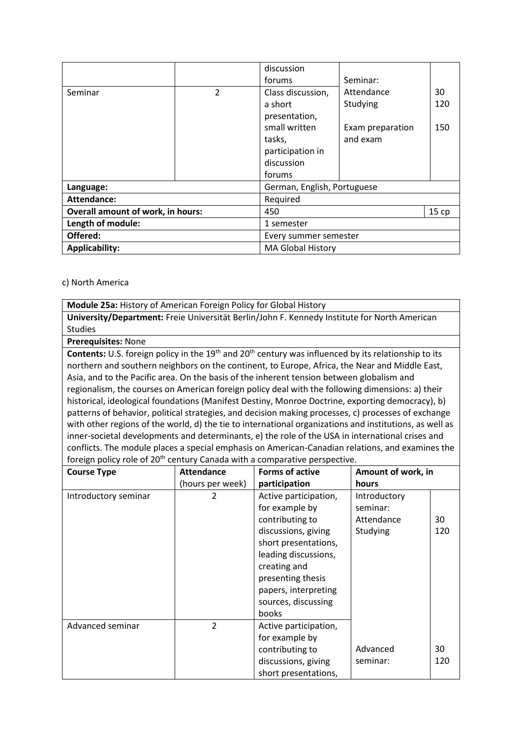|                                          |   | discussion                  |                  |     |
|------------------------------------------|---|-----------------------------|------------------|-----|
|                                          |   | forums                      | Seminar:         |     |
| Seminar                                  | 2 | Class discussion,           | Attendance       | 30  |
|                                          |   | a short                     | Studying         | 120 |
|                                          |   | presentation,               |                  |     |
|                                          |   | small written               | Exam preparation | 150 |
|                                          |   | tasks,                      | and exam         |     |
|                                          |   | participation in            |                  |     |
|                                          |   | discussion                  |                  |     |
|                                          |   | forums                      |                  |     |
| Language:                                |   | German, English, Portuguese |                  |     |
| Attendance:                              |   | Required                    |                  |     |
| <b>Overall amount of work, in hours:</b> |   | 15cp<br>450                 |                  |     |
| Length of module:                        |   | 1 semester                  |                  |     |
| Offered:                                 |   | Every summer semester       |                  |     |
| <b>Applicability:</b>                    |   | <b>MA Global History</b>    |                  |     |

#### c) North America

**Module 25a:** History of American Foreign Policy for Global History **University/Department:** Freie Universität Berlin/John F. Kennedy Institute for North American Studies

**Prerequisites:** None

Contents: U.S. foreign policy in the 19<sup>th</sup> and 20<sup>th</sup> century was influenced by its relationship to its northern and southern neighbors on the continent, to Europe, Africa, the Near and Middle East, Asia, and to the Pacific area. On the basis of the inherent tension between globalism and regionalism, the courses on American foreign policy deal with the following dimensions: a) their historical, ideological foundations (Manifest Destiny, Monroe Doctrine, exporting democracy), b) patterns of behavior, political strategies, and decision making processes, c) processes of exchange with other regions of the world, d) the tie to international organizations and institutions, as well as inner-societal developments and determinants, e) the role of the USA in international crises and conflicts. The module places a special emphasis on American-Canadian relations, and examines the foreign policy role of 20<sup>th</sup> century Canada with a comparative perspective.

| <b>Course Type</b>   | <b>Attendance</b> | <b>Forms of active</b>                                                                                                                                                                                                         | Amount of work, in                                 |           |
|----------------------|-------------------|--------------------------------------------------------------------------------------------------------------------------------------------------------------------------------------------------------------------------------|----------------------------------------------------|-----------|
|                      | (hours per week)  | participation                                                                                                                                                                                                                  | hours                                              |           |
| Introductory seminar | 2                 | Active participation,<br>for example by<br>contributing to<br>discussions, giving<br>short presentations,<br>leading discussions,<br>creating and<br>presenting thesis<br>papers, interpreting<br>sources, discussing<br>books | Introductory<br>seminar:<br>Attendance<br>Studying | 30<br>120 |
| Advanced seminar     | $\overline{2}$    | Active participation,<br>for example by<br>contributing to<br>discussions, giving<br>short presentations,                                                                                                                      | Advanced<br>seminar:                               | 30<br>120 |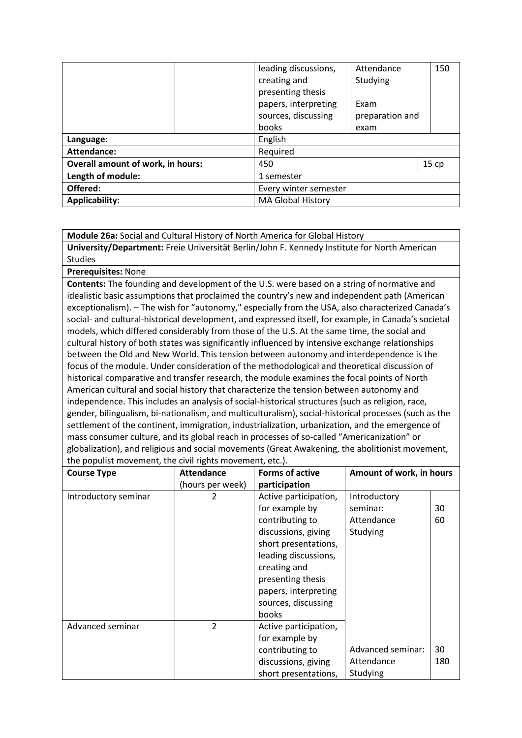|                                          | leading discussions,     | Attendance      | 150  |
|------------------------------------------|--------------------------|-----------------|------|
|                                          | creating and             | Studying        |      |
|                                          | presenting thesis        |                 |      |
|                                          | papers, interpreting     | Exam            |      |
|                                          | sources, discussing      | preparation and |      |
|                                          | books                    | exam            |      |
| Language:                                | English                  |                 |      |
| Attendance:                              | Required                 |                 |      |
| <b>Overall amount of work, in hours:</b> | 450                      |                 | 15cp |
| Length of module:                        | 1 semester               |                 |      |
| Offered:                                 | Every winter semester    |                 |      |
| <b>Applicability:</b>                    | <b>MA Global History</b> |                 |      |

**Module 26a:** Social and Cultural History of North America for Global History

**University/Department:** Freie Universität Berlin/John F. Kennedy Institute for North American Studies

**Prerequisites:** None

**Contents:** The founding and development of the U.S. were based on a string of normative and idealistic basic assumptions that proclaimed the country's new and independent path (American exceptionalism). – The wish for "autonomy," especially from the USA, also characterized Canada's social- and cultural-historical development, and expressed itself, for example, in Canada's societal models, which differed considerably from those of the U.S. At the same time, the social and cultural history of both states was significantly influenced by intensive exchange relationships between the Old and New World. This tension between autonomy and interdependence is the focus of the module. Under consideration of the methodological and theoretical discussion of historical comparative and transfer research, the module examines the focal points of North American cultural and social history that characterize the tension between autonomy and independence. This includes an analysis of social-historical structures (such as religion, race, gender, bilingualism, bi-nationalism, and multiculturalism), social-historical processes (such as the settlement of the continent, immigration, industrialization, urbanization, and the emergence of mass consumer culture, and its global reach in processes of so-called "Americanization" or globalization), and religious and social movements (Great Awakening, the abolitionist movement, the populist movement, the civil rights movement, etc.).

| <b>Course Type</b>   | <b>Attendance</b> | <b>Forms of active</b> | Amount of work, in hours |     |
|----------------------|-------------------|------------------------|--------------------------|-----|
|                      | (hours per week)  | participation          |                          |     |
| Introductory seminar |                   | Active participation,  | Introductory             |     |
|                      |                   | for example by         | seminar:                 | 30  |
|                      |                   | contributing to        | Attendance               | 60  |
|                      |                   | discussions, giving    | Studying                 |     |
|                      |                   | short presentations,   |                          |     |
|                      |                   | leading discussions,   |                          |     |
|                      |                   | creating and           |                          |     |
|                      |                   | presenting thesis      |                          |     |
|                      |                   | papers, interpreting   |                          |     |
|                      |                   | sources, discussing    |                          |     |
|                      |                   | books                  |                          |     |
| Advanced seminar     | $\overline{2}$    | Active participation,  |                          |     |
|                      |                   | for example by         |                          |     |
|                      |                   | contributing to        | Advanced seminar:        | 30  |
|                      |                   | discussions, giving    | Attendance               | 180 |
|                      |                   | short presentations,   | Studying                 |     |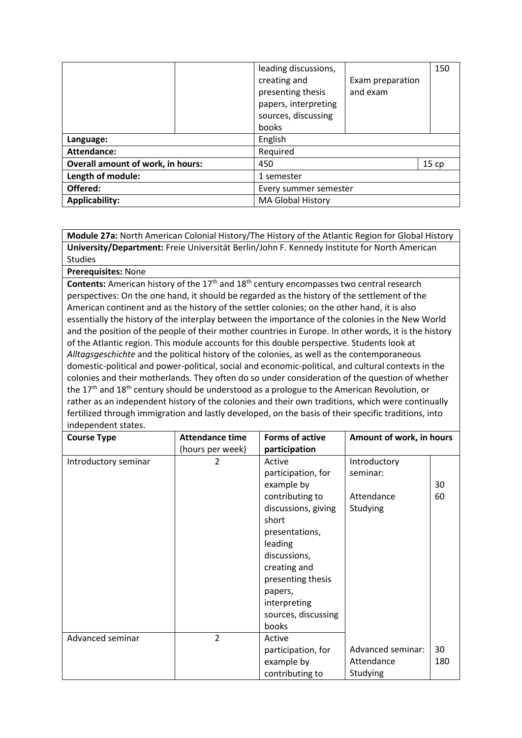|                                          |                       | leading discussions,<br>creating and<br>presenting thesis<br>papers, interpreting<br>sources, discussing<br>books | Exam preparation<br>and exam | 150 |  |
|------------------------------------------|-----------------------|-------------------------------------------------------------------------------------------------------------------|------------------------------|-----|--|
| Language:                                |                       | English                                                                                                           |                              |     |  |
| Attendance:                              |                       | Required                                                                                                          |                              |     |  |
| <b>Overall amount of work, in hours:</b> |                       | 15cp<br>450                                                                                                       |                              |     |  |
| Length of module:                        |                       | 1 semester                                                                                                        |                              |     |  |
| Offered:                                 | Every summer semester |                                                                                                                   |                              |     |  |
| <b>Applicability:</b>                    |                       | MA Global History                                                                                                 |                              |     |  |

**Module 27a:** North American Colonial History/The History of the Atlantic Region for Global History **University/Department:** Freie Universität Berlin/John F. Kennedy Institute for North American Studies

**Prerequisites:** None

**Contents:** American history of the 17<sup>th</sup> and 18<sup>th</sup> century encompasses two central research perspectives: On the one hand, it should be regarded as the history of the settlement of the American continent and as the history of the settler colonies; on the other hand, it is also essentially the history of the interplay between the importance of the colonies in the New World and the position of the people of their mother countries in Europe. In other words, it is the history of the Atlantic region. This module accounts for this double perspective. Students look at *Alltagsgeschichte* and the political history of the colonies, as well as the contemporaneous domestic-political and power-political, social and economic-political, and cultural contexts in the colonies and their motherlands. They often do so under consideration of the question of whether the 17<sup>th</sup> and 18<sup>th</sup> century should be understood as a prologue to the American Revolution, or rather as an independent history of the colonies and their own traditions, which were continually fertilized through immigration and lastly developed, on the basis of their specific traditions, into independent states.

| <b>Course Type</b>   | <b>Attendance time</b><br>(hours per week) | <b>Forms of active</b><br>participation                                                                                                                                                                                                    | Amount of work, in hours                           |           |
|----------------------|--------------------------------------------|--------------------------------------------------------------------------------------------------------------------------------------------------------------------------------------------------------------------------------------------|----------------------------------------------------|-----------|
| Introductory seminar | 2                                          | Active<br>participation, for<br>example by<br>contributing to<br>discussions, giving<br>short<br>presentations,<br>leading<br>discussions,<br>creating and<br>presenting thesis<br>papers,<br>interpreting<br>sources, discussing<br>books | Introductory<br>seminar:<br>Attendance<br>Studying | 30<br>60  |
| Advanced seminar     | $\overline{2}$                             | Active<br>participation, for<br>example by<br>contributing to                                                                                                                                                                              | Advanced seminar:<br>Attendance<br>Studying        | 30<br>180 |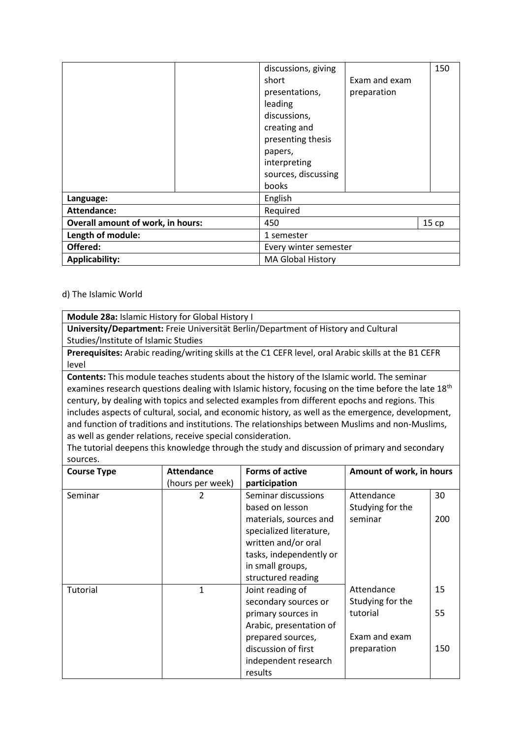|                                          | discussions, giving<br>short<br>presentations,<br>leading<br>discussions,<br>creating and<br>presenting thesis<br>papers,<br>interpreting<br>sources, discussing<br>books | Exam and exam<br>preparation | 150  |
|------------------------------------------|---------------------------------------------------------------------------------------------------------------------------------------------------------------------------|------------------------------|------|
| Language:                                | English                                                                                                                                                                   |                              |      |
| Attendance:                              | Required                                                                                                                                                                  |                              |      |
| <b>Overall amount of work, in hours:</b> | 450                                                                                                                                                                       |                              | 15cp |
| Length of module:                        | 1 semester                                                                                                                                                                |                              |      |
| Offered:                                 | Every winter semester                                                                                                                                                     |                              |      |
| <b>Applicability:</b>                    | <b>MA Global History</b>                                                                                                                                                  |                              |      |

#### d) The Islamic World

**Module 28a:** Islamic History for Global History I

**University/Department:** Freie Universität Berlin/Department of History and Cultural Studies/Institute of Islamic Studies

**Prerequisites:** Arabic reading/writing skills at the C1 CEFR level, oral Arabic skills at the B1 CEFR level

**Contents:** This module teaches students about the history of the Islamic world. The seminar examines research questions dealing with Islamic history, focusing on the time before the late 18<sup>th</sup> century, by dealing with topics and selected examples from different epochs and regions. This includes aspects of cultural, social, and economic history, as well as the emergence, development, and function of traditions and institutions. The relationships between Muslims and non-Muslims, as well as gender relations, receive special consideration.

The tutorial deepens this knowledge through the study and discussion of primary and secondary sources.

| <b>Course Type</b> | <b>Attendance</b> | <b>Forms of active</b>                                                                                                                        | Amount of work, in hours       |     |
|--------------------|-------------------|-----------------------------------------------------------------------------------------------------------------------------------------------|--------------------------------|-----|
|                    | (hours per week)  | participation                                                                                                                                 |                                |     |
| Seminar            | 2                 | Seminar discussions<br>based on lesson                                                                                                        | Attendance<br>Studying for the | 30  |
|                    |                   | materials, sources and<br>specialized literature,<br>written and/or oral<br>tasks, independently or<br>in small groups,<br>structured reading | seminar                        | 200 |
| Tutorial           | 1                 | Joint reading of                                                                                                                              | Attendance                     | 15  |
|                    |                   | secondary sources or<br>primary sources in<br>Arabic, presentation of                                                                         | Studying for the<br>tutorial   | 55  |
|                    |                   | prepared sources,<br>discussion of first<br>independent research<br>results                                                                   | Exam and exam<br>preparation   | 150 |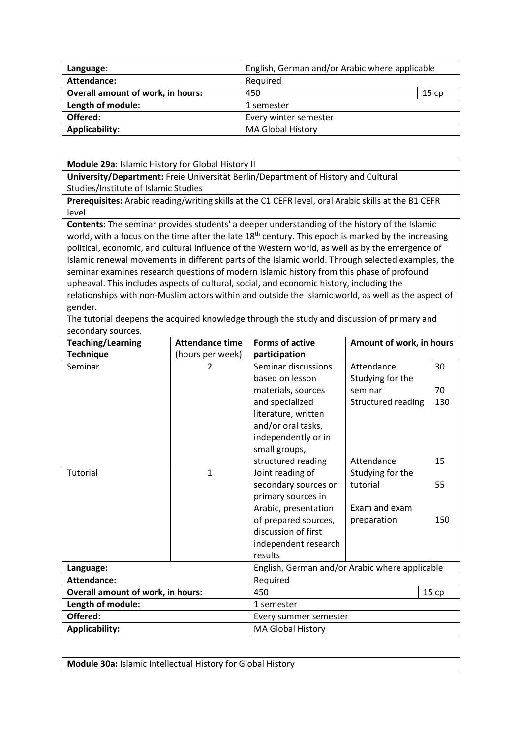| Language:                                | English, German and/or Arabic where applicable |       |  |
|------------------------------------------|------------------------------------------------|-------|--|
| Attendance:                              | Required                                       |       |  |
| <b>Overall amount of work, in hours:</b> | 450                                            | 15 cp |  |
| Length of module:                        | 1 semester                                     |       |  |
| Offered:                                 | Every winter semester                          |       |  |
| Applicability:                           | <b>MA Global History</b>                       |       |  |

**Module 29a:** Islamic History for Global History II

**University/Department:** Freie Universität Berlin/Department of History and Cultural Studies/Institute of Islamic Studies

**Prerequisites:** Arabic reading/writing skills at the C1 CEFR level, oral Arabic skills at the B1 CEFR level

**Contents:** The seminar provides students' a deeper understanding of the history of the Islamic world, with a focus on the time after the late  $18<sup>th</sup>$  century. This epoch is marked by the increasing political, economic, and cultural influence of the Western world, as well as by the emergence of Islamic renewal movements in different parts of the Islamic world. Through selected examples, the seminar examines research questions of modern Islamic history from this phase of profound upheaval. This includes aspects of cultural, social, and economic history, including the relationships with non-Muslim actors within and outside the Islamic world, as well as the aspect of gender.

The tutorial deepens the acquired knowledge through the study and discussion of primary and secondary sources.

| <b>Teaching/Learning</b>                 | <b>Attendance time</b> | <b>Forms of active</b>                         | Amount of work, in hours |     |
|------------------------------------------|------------------------|------------------------------------------------|--------------------------|-----|
| <b>Technique</b>                         | (hours per week)       | participation                                  |                          |     |
| Seminar                                  | 2                      | Seminar discussions                            | Attendance               | 30  |
|                                          |                        | based on lesson                                | Studying for the         |     |
|                                          |                        | materials, sources                             | seminar                  | 70  |
|                                          |                        | and specialized                                | Structured reading       | 130 |
|                                          |                        | literature, written                            |                          |     |
|                                          |                        | and/or oral tasks,                             |                          |     |
|                                          |                        | independently or in                            |                          |     |
|                                          |                        | small groups,                                  |                          |     |
|                                          |                        | structured reading                             | Attendance               | 15  |
| Tutorial                                 | $\mathbf{1}$           | Joint reading of                               | Studying for the         |     |
|                                          |                        | secondary sources or                           | tutorial                 | 55  |
|                                          |                        | primary sources in                             |                          |     |
|                                          |                        | Arabic, presentation                           | Exam and exam            |     |
|                                          |                        | of prepared sources,                           | preparation              | 150 |
|                                          |                        | discussion of first                            |                          |     |
|                                          |                        | independent research                           |                          |     |
|                                          |                        | results                                        |                          |     |
| Language:                                |                        | English, German and/or Arabic where applicable |                          |     |
| Attendance:                              |                        | Required                                       |                          |     |
| <b>Overall amount of work, in hours:</b> |                        | 450<br>15 cp                                   |                          |     |
| Length of module:                        |                        | 1 semester                                     |                          |     |
| Offered:                                 |                        | Every summer semester                          |                          |     |
| <b>Applicability:</b>                    |                        | <b>MA Global History</b>                       |                          |     |

**Module 30a:** Islamic Intellectual History for Global History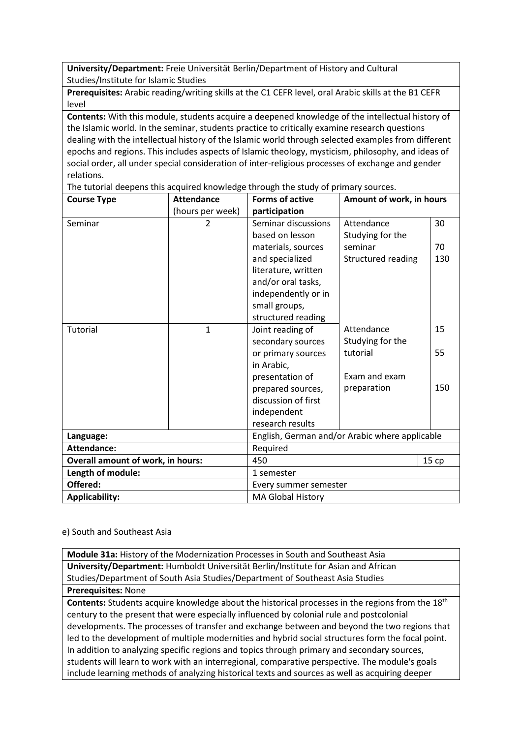**University/Department:** Freie Universität Berlin/Department of History and Cultural Studies/Institute for Islamic Studies

**Prerequisites:** Arabic reading/writing skills at the C1 CEFR level, oral Arabic skills at the B1 CEFR level

**Contents:** With this module, students acquire a deepened knowledge of the intellectual history of the Islamic world. In the seminar, students practice to critically examine research questions dealing with the intellectual history of the Islamic world through selected examples from different epochs and regions. This includes aspects of Islamic theology, mysticism, philosophy, and ideas of social order, all under special consideration of inter-religious processes of exchange and gender relations.

The tutorial deepens this acquired knowledge through the study of primary sources.

| <b>Course Type</b>                       | <b>Attendance</b> | <b>Forms of active</b><br>Amount of work, in hours |                    |      |
|------------------------------------------|-------------------|----------------------------------------------------|--------------------|------|
|                                          | (hours per week)  | participation                                      |                    |      |
| Seminar                                  | $\overline{2}$    | Seminar discussions                                | Attendance         | 30   |
|                                          |                   | based on lesson                                    | Studying for the   |      |
|                                          |                   | materials, sources                                 | seminar            | 70   |
|                                          |                   | and specialized                                    | Structured reading | 130  |
|                                          |                   | literature, written                                |                    |      |
|                                          |                   | and/or oral tasks,                                 |                    |      |
|                                          |                   | independently or in                                |                    |      |
|                                          |                   | small groups,                                      |                    |      |
|                                          |                   | structured reading                                 |                    |      |
| <b>Tutorial</b>                          | $\mathbf{1}$      | Joint reading of                                   | Attendance         | 15   |
|                                          |                   | secondary sources                                  | Studying for the   |      |
|                                          |                   | or primary sources                                 | tutorial           | 55   |
|                                          |                   | in Arabic,                                         |                    |      |
|                                          |                   | presentation of                                    | Exam and exam      |      |
|                                          |                   | prepared sources,                                  | preparation        | 150  |
|                                          |                   | discussion of first                                |                    |      |
|                                          |                   | independent                                        |                    |      |
|                                          |                   | research results                                   |                    |      |
| Language:                                |                   | English, German and/or Arabic where applicable     |                    |      |
| <b>Attendance:</b>                       |                   | Required                                           |                    |      |
| <b>Overall amount of work, in hours:</b> |                   | 450                                                |                    | 15cp |
| Length of module:                        |                   | 1 semester                                         |                    |      |
| Offered:                                 |                   | Every summer semester                              |                    |      |
| <b>Applicability:</b>                    |                   | <b>MA Global History</b>                           |                    |      |

e) South and Southeast Asia

**Module 31a:** History of the Modernization Processes in South and Southeast Asia **University/Department:** Humboldt Universität Berlin/Institute for Asian and African Studies/Department of South Asia Studies/Department of Southeast Asia Studies **Prerequisites:** None

**Contents:** Students acquire knowledge about the historical processes in the regions from the 18th century to the present that were especially influenced by colonial rule and postcolonial developments. The processes of transfer and exchange between and beyond the two regions that led to the development of multiple modernities and hybrid social structures form the focal point. In addition to analyzing specific regions and topics through primary and secondary sources, students will learn to work with an interregional, comparative perspective. The module's goals include learning methods of analyzing historical texts and sources as well as acquiring deeper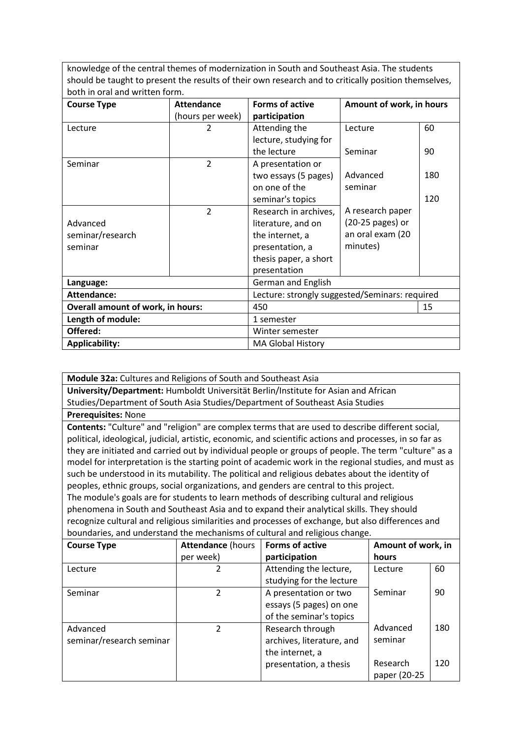knowledge of the central themes of modernization in South and Southeast Asia. The students should be taught to present the results of their own research and to critically position themselves, both in oral and written form.

| <b>Course Type</b>                | <b>Attendance</b> | <b>Forms of active</b>                         | Amount of work, in hours |     |  |
|-----------------------------------|-------------------|------------------------------------------------|--------------------------|-----|--|
|                                   | (hours per week)  | participation                                  |                          |     |  |
| Lecture                           | 2                 | Attending the                                  | Lecture                  | 60  |  |
|                                   |                   | lecture, studying for                          |                          |     |  |
|                                   |                   | the lecture                                    | Seminar                  | 90  |  |
| Seminar                           | 2                 | A presentation or                              |                          |     |  |
|                                   |                   | two essays (5 pages)                           | Advanced                 | 180 |  |
|                                   |                   | on one of the                                  | seminar                  |     |  |
|                                   |                   | seminar's topics                               |                          | 120 |  |
|                                   | $\overline{2}$    | Research in archives,                          | A research paper         |     |  |
| Advanced                          |                   | literature, and on                             | (20-25 pages) or         |     |  |
| seminar/research                  |                   | the internet, a                                | an oral exam (20         |     |  |
| seminar                           |                   | presentation, a                                | minutes)                 |     |  |
|                                   |                   | thesis paper, a short                          |                          |     |  |
|                                   |                   | presentation                                   |                          |     |  |
| Language:                         |                   | German and English                             |                          |     |  |
| <b>Attendance:</b>                |                   | Lecture: strongly suggested/Seminars: required |                          |     |  |
| Overall amount of work, in hours: |                   | 450                                            |                          | 15  |  |
| Length of module:                 |                   | 1 semester                                     |                          |     |  |
| Offered:                          |                   | Winter semester                                |                          |     |  |
| <b>Applicability:</b>             |                   | <b>MA Global History</b>                       |                          |     |  |

**Module 32a:** Cultures and Religions of South and Southeast Asia **University/Department:** Humboldt Universität Berlin/Institute for Asian and African Studies/Department of South Asia Studies/Department of Southeast Asia Studies **Prerequisites:** None **Contents:** "Culture" and "religion" are complex terms that are used to describe different social, political, ideological, judicial, artistic, economic, and scientific actions and processes, in so far as they are initiated and carried out by individual people or groups of people. The term "culture" as a model for interpretation is the starting point of academic work in the regional studies, and must as such be understood in its mutability. The political and religious debates about the identity of peoples, ethnic groups, social organizations, and genders are central to this project. The module's goals are for students to learn methods of describing cultural and religious phenomena in South and Southeast Asia and to expand their analytical skills. They should recognize cultural and religious similarities and processes of exchange, but also differences and boundaries, and understand the mechanisms of cultural and religious change. **Course Type Attendance** (hours per week) **Forms of active participation Amount of work, in hours** Lecture 2 Attending the lecture, studying for the lecture Lecture Seminar Advanced 60 90 180 Seminar 1 2 A presentation or two essays (5 pages) on one of the seminar's topics Advanced 2 Research through

seminar/research seminar

seminar

archives, literature, and

presentation, a thesis

the internet, a

Research paper (20-25 120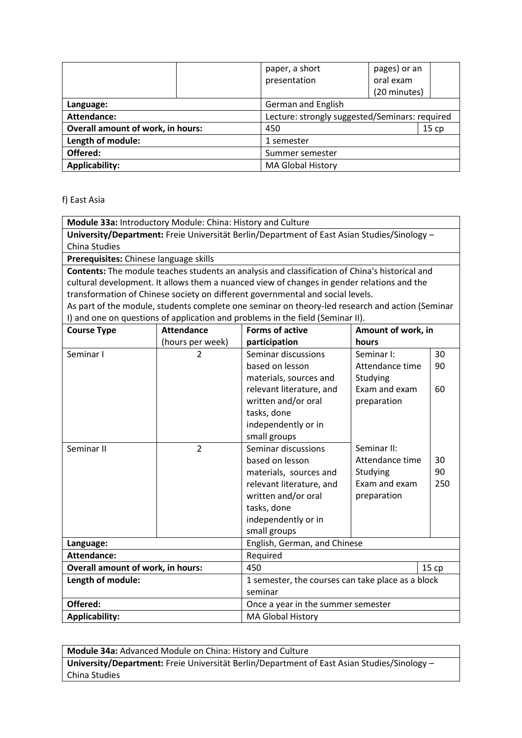|                                          | paper, a short                                 | pages) or an |      |
|------------------------------------------|------------------------------------------------|--------------|------|
|                                          | presentation                                   | oral exam    |      |
|                                          |                                                | (20 minutes) |      |
| Language:                                | German and English                             |              |      |
| Attendance:                              | Lecture: strongly suggested/Seminars: required |              |      |
| <b>Overall amount of work, in hours:</b> | 450                                            |              | 15cp |
| Length of module:                        | 1 semester                                     |              |      |
| Offered:                                 | Summer semester                                |              |      |
| <b>Applicability:</b>                    | <b>MA Global History</b>                       |              |      |

#### f) East Asia

**Module 33a:** Introductory Module: China: History and Culture

**University/Department:** Freie Universität Berlin/Department of East Asian Studies/Sinology – China Studies

**Prerequisites:** Chinese language skills

**Contents:** The module teaches students an analysis and classification of China's historical and cultural development. It allows them a nuanced view of changes in gender relations and the transformation of Chinese society on different governmental and social levels.

As part of the module, students complete one seminar on theory-led research and action (Seminar I) and one on questions of application and problems in the field (Seminar II).

| <b>Course Type</b>                             | <b>Attendance</b> | <b>Forms of active</b>                            | Amount of work, in |       |
|------------------------------------------------|-------------------|---------------------------------------------------|--------------------|-------|
|                                                | (hours per week)  | participation                                     | hours              |       |
| Seminar I                                      | 2                 | Seminar discussions                               | Seminar I:         | 30    |
|                                                |                   | based on lesson                                   | Attendance time    | 90    |
|                                                |                   | materials, sources and                            | Studying           |       |
|                                                |                   | relevant literature, and                          | Exam and exam      | 60    |
|                                                |                   | written and/or oral                               | preparation        |       |
|                                                |                   | tasks, done                                       |                    |       |
|                                                |                   | independently or in                               |                    |       |
|                                                |                   | small groups                                      |                    |       |
| Seminar II                                     | $\overline{2}$    | Seminar discussions                               | Seminar II:        |       |
|                                                |                   | based on lesson                                   | Attendance time    | 30    |
|                                                |                   | materials, sources and                            | Studying           | 90    |
|                                                |                   | relevant literature, and                          | Exam and exam      | 250   |
|                                                |                   | written and/or oral                               | preparation        |       |
|                                                |                   | tasks, done                                       |                    |       |
|                                                |                   | independently or in                               |                    |       |
|                                                |                   | small groups                                      |                    |       |
| Language:                                      |                   | English, German, and Chinese                      |                    |       |
| <b>Attendance:</b>                             |                   | Required                                          |                    |       |
| <b>Overall amount of work, in hours:</b>       |                   | 450                                               |                    | 15 cp |
| Length of module:                              |                   | 1 semester, the courses can take place as a block |                    |       |
|                                                |                   | seminar                                           |                    |       |
| Offered:<br>Once a year in the summer semester |                   |                                                   |                    |       |
| <b>Applicability:</b>                          |                   | <b>MA Global History</b>                          |                    |       |

**Module 34a:** Advanced Module on China: History and Culture **University/Department:** Freie Universität Berlin/Department of East Asian Studies/Sinology –

China Studies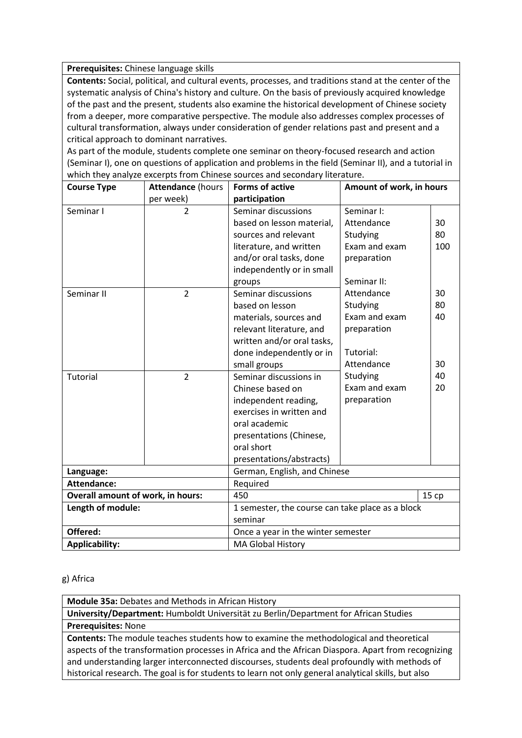**Prerequisites:** Chinese language skills

**Contents:** Social, political, and cultural events, processes, and traditions stand at the center of the systematic analysis of China's history and culture. On the basis of previously acquired knowledge of the past and the present, students also examine the historical development of Chinese society from a deeper, more comparative perspective. The module also addresses complex processes of cultural transformation, always under consideration of gender relations past and present and a critical approach to dominant narratives.

As part of the module, students complete one seminar on theory-focused research and action (Seminar I), one on questions of application and problems in the field (Seminar II), and a tutorial in which they analyze excerpts from Chinese sources and secondary literature.

| <b>Course Type</b>                       | <b>Attendance (hours</b> | <b>Forms of active</b>                           | Amount of work, in hours |     |
|------------------------------------------|--------------------------|--------------------------------------------------|--------------------------|-----|
|                                          | per week)                | participation                                    |                          |     |
| Seminar I                                | $\overline{2}$           | Seminar discussions                              | Seminar I:               |     |
|                                          |                          | based on lesson material,                        | Attendance               | 30  |
|                                          |                          | sources and relevant                             | Studying                 | 80  |
|                                          |                          | literature, and written                          | Exam and exam            | 100 |
|                                          |                          | and/or oral tasks, done                          | preparation              |     |
|                                          |                          | independently or in small                        |                          |     |
|                                          |                          | groups                                           | Seminar II:              |     |
| Seminar II                               | $\overline{2}$           | Seminar discussions                              | Attendance               | 30  |
|                                          |                          | based on lesson                                  | Studying                 | 80  |
|                                          |                          | materials, sources and                           | Exam and exam            | 40  |
|                                          |                          | relevant literature, and                         | preparation              |     |
|                                          |                          | written and/or oral tasks,                       |                          |     |
|                                          |                          | done independently or in                         | Tutorial:                |     |
|                                          |                          | small groups                                     | Attendance               | 30  |
| Tutorial                                 | $\overline{2}$           | Seminar discussions in                           | Studying                 | 40  |
|                                          |                          | Chinese based on                                 | Exam and exam            | 20  |
|                                          |                          | independent reading,                             | preparation              |     |
|                                          |                          | exercises in written and                         |                          |     |
|                                          |                          | oral academic                                    |                          |     |
|                                          |                          | presentations (Chinese,                          |                          |     |
|                                          |                          | oral short                                       |                          |     |
|                                          |                          | presentations/abstracts)                         |                          |     |
| Language:                                |                          | German, English, and Chinese                     |                          |     |
| <b>Attendance:</b>                       |                          | Required                                         |                          |     |
| <b>Overall amount of work, in hours:</b> |                          | 450<br>15cp                                      |                          |     |
| Length of module:                        |                          | 1 semester, the course can take place as a block |                          |     |
|                                          |                          | seminar                                          |                          |     |
| Offered:                                 |                          | Once a year in the winter semester               |                          |     |
| <b>Applicability:</b>                    |                          | <b>MA Global History</b>                         |                          |     |

#### g) Africa

**Module 35a:** Debates and Methods in African History

**University/Department:** Humboldt Universität zu Berlin/Department for African Studies

**Prerequisites:** None

**Contents:** The module teaches students how to examine the methodological and theoretical aspects of the transformation processes in Africa and the African Diaspora. Apart from recognizing and understanding larger interconnected discourses, students deal profoundly with methods of historical research. The goal is for students to learn not only general analytical skills, but also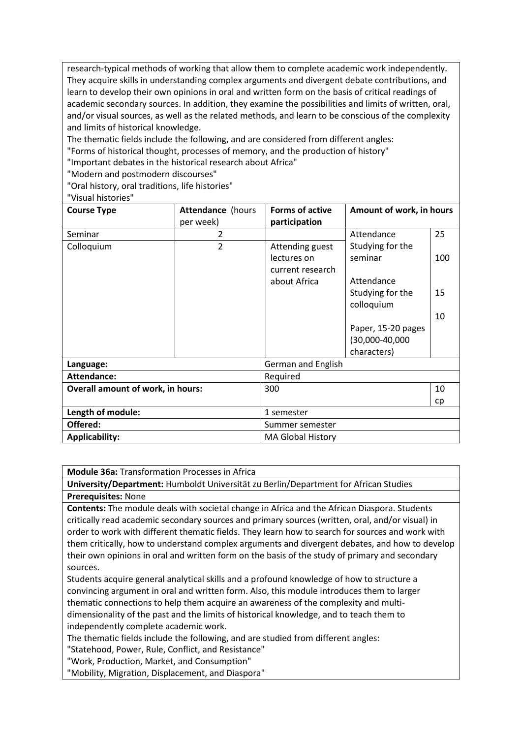research-typical methods of working that allow them to complete academic work independently. They acquire skills in understanding complex arguments and divergent debate contributions, and learn to develop their own opinions in oral and written form on the basis of critical readings of academic secondary sources. In addition, they examine the possibilities and limits of written, oral, and/or visual sources, as well as the related methods, and learn to be conscious of the complexity and limits of historical knowledge.

The thematic fields include the following, and are considered from different angles:

"Forms of historical thought, processes of memory, and the production of history"

"Important debates in the historical research about Africa"

"Modern and postmodern discourses"

"Oral history, oral traditions, life histories"

"Visual histories"

| <b>Course Type</b>                       | Attendance (hours<br>per week) | <b>Forms of active</b><br>participation | Amount of work, in hours |     |
|------------------------------------------|--------------------------------|-----------------------------------------|--------------------------|-----|
| Seminar                                  | 2                              |                                         | Attendance               | 25  |
| Colloquium                               | $\overline{2}$                 | Attending guest                         | Studying for the         |     |
|                                          |                                | lectures on                             | seminar                  | 100 |
|                                          |                                | current research                        |                          |     |
|                                          |                                | about Africa                            | Attendance               |     |
|                                          |                                |                                         | Studying for the         | 15  |
|                                          |                                |                                         | colloquium               |     |
|                                          |                                |                                         |                          | 10  |
|                                          |                                |                                         | Paper, 15-20 pages       |     |
|                                          |                                |                                         | (30,000-40,000           |     |
|                                          |                                |                                         | characters)              |     |
| Language:                                |                                | German and English                      |                          |     |
| <b>Attendance:</b>                       |                                | Required                                |                          |     |
| <b>Overall amount of work, in hours:</b> |                                | 300                                     |                          | 10  |
|                                          |                                |                                         |                          | cp  |
| Length of module:                        |                                | 1 semester                              |                          |     |
| Offered:                                 |                                | Summer semester                         |                          |     |
| <b>Applicability:</b>                    |                                | <b>MA Global History</b>                |                          |     |

**Module 36a:** Transformation Processes in Africa

**University/Department:** Humboldt Universität zu Berlin/Department for African Studies **Prerequisites:** None

**Contents:** The module deals with societal change in Africa and the African Diaspora. Students critically read academic secondary sources and primary sources (written, oral, and/or visual) in order to work with different thematic fields. They learn how to search for sources and work with them critically, how to understand complex arguments and divergent debates, and how to develop their own opinions in oral and written form on the basis of the study of primary and secondary sources.

Students acquire general analytical skills and a profound knowledge of how to structure a convincing argument in oral and written form. Also, this module introduces them to larger thematic connections to help them acquire an awareness of the complexity and multidimensionality of the past and the limits of historical knowledge, and to teach them to independently complete academic work.

The thematic fields include the following, and are studied from different angles:

"Statehood, Power, Rule, Conflict, and Resistance"

"Work, Production, Market, and Consumption"

"Mobility, Migration, Displacement, and Diaspora"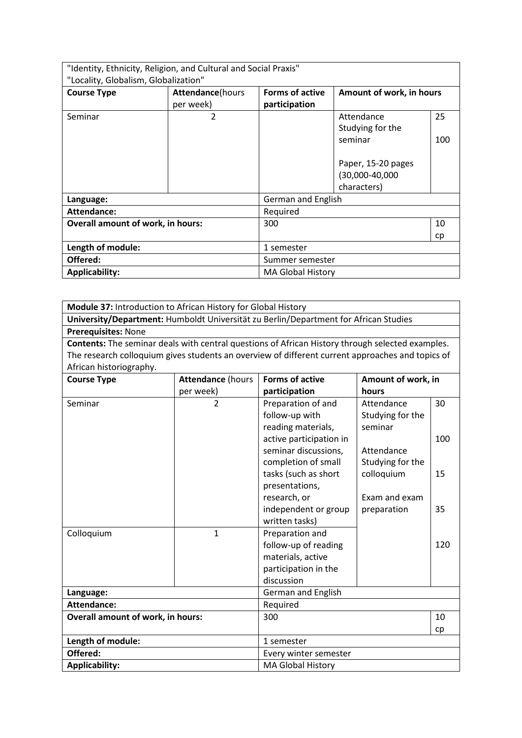| "Identity, Ethnicity, Religion, and Cultural and Social Praxis"<br>"Locality, Globalism, Globalization" |                                       |                                         |                                                                                                  |           |
|---------------------------------------------------------------------------------------------------------|---------------------------------------|-----------------------------------------|--------------------------------------------------------------------------------------------------|-----------|
| <b>Course Type</b>                                                                                      | <b>Attendance</b> (hours<br>per week) | <b>Forms of active</b><br>participation | Amount of work, in hours                                                                         |           |
| Seminar                                                                                                 | 2                                     |                                         | Attendance<br>Studying for the<br>seminar<br>Paper, 15-20 pages<br>(30,000-40,000<br>characters) | 25<br>100 |
| Language:                                                                                               |                                       | German and English                      |                                                                                                  |           |
| Attendance:                                                                                             |                                       | Required                                |                                                                                                  |           |
| <b>Overall amount of work, in hours:</b>                                                                |                                       | 300                                     |                                                                                                  | 10<br>cp  |
| Length of module:                                                                                       |                                       | 1 semester                              |                                                                                                  |           |
| Offered:<br>Summer semester                                                                             |                                       |                                         |                                                                                                  |           |
| <b>Applicability:</b>                                                                                   |                                       | <b>MA Global History</b>                |                                                                                                  |           |

**Module 37:** Introduction to African History for Global History

**University/Department:** Humboldt Universität zu Berlin/Department for African Studies **Prerequisites:** None

**Contents:** The seminar deals with central questions of African History through selected examples. The research colloquium gives students an overview of different current approaches and topics of African historiography.

| <b>Course Type</b>                       | <b>Attendance (hours</b> | <b>Forms of active</b>  | Amount of work, in |     |
|------------------------------------------|--------------------------|-------------------------|--------------------|-----|
|                                          | per week)                | participation           | hours              |     |
| Seminar                                  | $\mathfrak{D}$           | Preparation of and      | Attendance         | 30  |
|                                          |                          | follow-up with          | Studying for the   |     |
|                                          |                          | reading materials,      | seminar            |     |
|                                          |                          | active participation in |                    | 100 |
|                                          |                          | seminar discussions,    | Attendance         |     |
|                                          |                          | completion of small     | Studying for the   |     |
|                                          |                          | tasks (such as short    | colloquium         | 15  |
|                                          |                          | presentations,          |                    |     |
|                                          |                          | research, or            | Exam and exam      |     |
|                                          |                          | independent or group    | preparation        | 35  |
|                                          |                          | written tasks)          |                    |     |
| Colloquium                               | 1                        | Preparation and         |                    |     |
|                                          |                          | follow-up of reading    |                    | 120 |
|                                          |                          | materials, active       |                    |     |
|                                          |                          | participation in the    |                    |     |
|                                          |                          | discussion              |                    |     |
| Language:                                |                          | German and English      |                    |     |
| <b>Attendance:</b>                       |                          | Required                |                    |     |
| <b>Overall amount of work, in hours:</b> |                          | 300                     |                    | 10  |
|                                          |                          |                         |                    | cp  |
| Length of module:                        |                          | 1 semester              |                    |     |
| Offered:                                 |                          | Every winter semester   |                    |     |
| <b>Applicability:</b>                    |                          | MA Global History       |                    |     |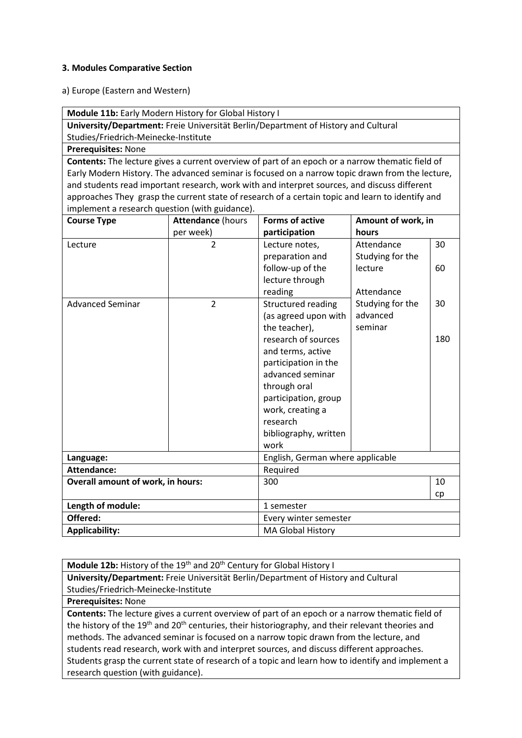#### **3. Modules Comparative Section**

a) Europe (Eastern and Western)

**Module 11b:** Early Modern History for Global History I

**University/Department:** Freie Universität Berlin/Department of History and Cultural Studies/Friedrich-Meinecke-Institute

**Prerequisites:** None

**Contents:** The lecture gives a current overview of part of an epoch or a narrow thematic field of Early Modern History. The advanced seminar is focused on a narrow topic drawn from the lecture, and students read important research, work with and interpret sources, and discuss different approaches They grasp the current state of research of a certain topic and learn to identify and implement a research question (with guidance).

| <b>Course Type</b>                       | <b>Attendance (hours</b> | <b>Forms of active</b>           | Amount of work, in |     |
|------------------------------------------|--------------------------|----------------------------------|--------------------|-----|
|                                          | per week)                | participation                    | hours              |     |
| Lecture                                  | $\overline{2}$           | Lecture notes,                   | Attendance         | 30  |
|                                          |                          | preparation and                  | Studying for the   |     |
|                                          |                          | follow-up of the                 | lecture            | 60  |
|                                          |                          | lecture through                  |                    |     |
|                                          |                          | reading                          | Attendance         |     |
| <b>Advanced Seminar</b>                  | $\overline{2}$           | Structured reading               | Studying for the   | 30  |
|                                          |                          | (as agreed upon with             | advanced           |     |
|                                          |                          | the teacher),                    | seminar            |     |
|                                          |                          | research of sources              |                    | 180 |
|                                          |                          | and terms, active                |                    |     |
|                                          |                          | participation in the             |                    |     |
|                                          |                          | advanced seminar                 |                    |     |
|                                          |                          | through oral                     |                    |     |
|                                          |                          | participation, group             |                    |     |
|                                          |                          | work, creating a                 |                    |     |
|                                          |                          | research                         |                    |     |
|                                          |                          | bibliography, written            |                    |     |
|                                          |                          | work                             |                    |     |
| Language:                                |                          | English, German where applicable |                    |     |
| <b>Attendance:</b>                       |                          | Required                         |                    |     |
| <b>Overall amount of work, in hours:</b> |                          | 300                              |                    | 10  |
|                                          |                          |                                  |                    | cp  |
| Length of module:                        |                          | 1 semester                       |                    |     |
| Offered:                                 |                          | Every winter semester            |                    |     |
| <b>Applicability:</b>                    |                          | <b>MA Global History</b>         |                    |     |

**Module 12b:** History of the 19<sup>th</sup> and 20<sup>th</sup> Century for Global History I **University/Department:** Freie Universität Berlin/Department of History and Cultural Studies/Friedrich-Meinecke-Institute

**Prerequisites:** None

**Contents:** The lecture gives a current overview of part of an epoch or a narrow thematic field of the history of the 19<sup>th</sup> and 20<sup>th</sup> centuries, their historiography, and their relevant theories and methods. The advanced seminar is focused on a narrow topic drawn from the lecture, and students read research, work with and interpret sources, and discuss different approaches. Students grasp the current state of research of a topic and learn how to identify and implement a research question (with guidance).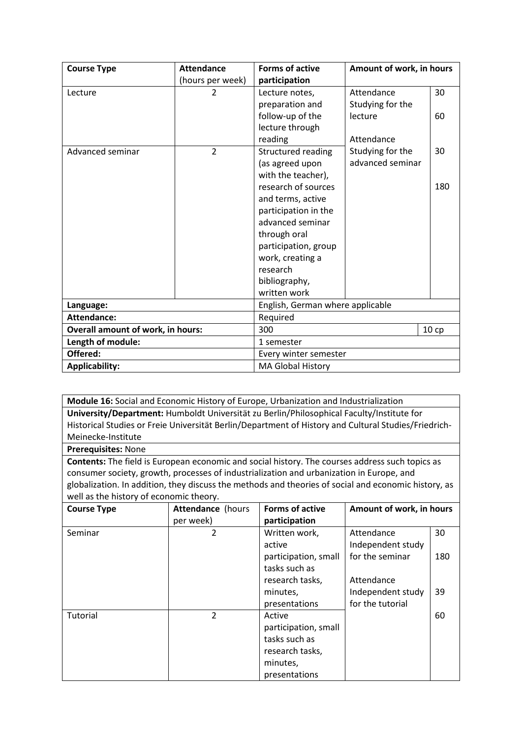| <b>Course Type</b>                       | <b>Attendance</b> | <b>Forms of active</b>           | Amount of work, in hours |     |
|------------------------------------------|-------------------|----------------------------------|--------------------------|-----|
|                                          | (hours per week)  | participation                    |                          |     |
| Lecture                                  | $\overline{2}$    | Lecture notes,                   | Attendance               | 30  |
|                                          |                   | preparation and                  | Studying for the         |     |
|                                          |                   | follow-up of the                 | lecture                  | 60  |
|                                          |                   | lecture through                  |                          |     |
|                                          |                   | reading                          | Attendance               |     |
| Advanced seminar                         | $\overline{2}$    | Structured reading               | Studying for the         | 30  |
|                                          |                   | (as agreed upon                  | advanced seminar         |     |
|                                          |                   | with the teacher),               |                          |     |
|                                          |                   | research of sources              |                          | 180 |
|                                          |                   | and terms, active                |                          |     |
|                                          |                   | participation in the             |                          |     |
|                                          |                   | advanced seminar                 |                          |     |
|                                          |                   | through oral                     |                          |     |
|                                          |                   | participation, group             |                          |     |
|                                          |                   | work, creating a                 |                          |     |
|                                          |                   | research                         |                          |     |
|                                          |                   | bibliography,                    |                          |     |
|                                          |                   | written work                     |                          |     |
| Language:                                |                   | English, German where applicable |                          |     |
| <b>Attendance:</b>                       |                   | Required                         |                          |     |
| <b>Overall amount of work, in hours:</b> |                   | 300<br>10cp                      |                          |     |
| Length of module:                        |                   | 1 semester                       |                          |     |
| Offered:                                 |                   | Every winter semester            |                          |     |
| <b>Applicability:</b>                    |                   | <b>MA Global History</b>         |                          |     |

**Module 16:** Social and Economic History of Europe, Urbanization and Industrialization **University/Department:** Humboldt Universität zu Berlin/Philosophical Faculty/Institute for Historical Studies or Freie Universität Berlin/Department of History and Cultural Studies/Friedrich-Meinecke-Institute

**Prerequisites:** None

**Contents:** The field is European economic and social history. The courses address such topics as consumer society, growth, processes of industrialization and urbanization in Europe, and globalization. In addition, they discuss the methods and theories of social and economic history, as well as the history of economic theory.

| <b>Course Type</b> | Attendance (hours | <b>Forms of active</b> | Amount of work, in hours |     |
|--------------------|-------------------|------------------------|--------------------------|-----|
|                    | per week)         | participation          |                          |     |
| Seminar            | 2                 | Written work,          | Attendance               | 30  |
|                    |                   | active                 | Independent study        |     |
|                    |                   | participation, small   | for the seminar          | 180 |
|                    |                   | tasks such as          |                          |     |
|                    |                   | research tasks,        | Attendance               |     |
|                    |                   | minutes,               | Independent study        | 39  |
|                    |                   | presentations          | for the tutorial         |     |
| Tutorial           | 2                 | Active                 |                          | 60  |
|                    |                   | participation, small   |                          |     |
|                    |                   | tasks such as          |                          |     |
|                    |                   | research tasks,        |                          |     |
|                    |                   | minutes,               |                          |     |
|                    |                   | presentations          |                          |     |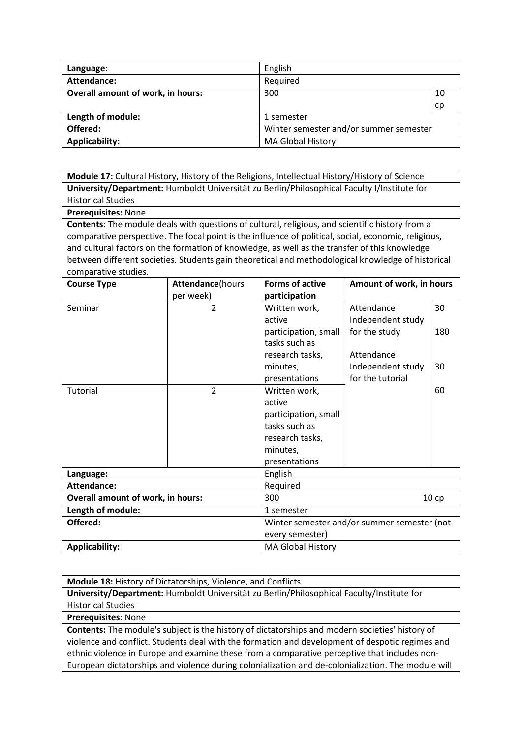| Language:                                | English                                |    |
|------------------------------------------|----------------------------------------|----|
| Attendance:                              | Required                               |    |
| <b>Overall amount of work, in hours:</b> | 300                                    | 10 |
|                                          |                                        | cp |
| Length of module:                        | 1 semester                             |    |
| Offered:                                 | Winter semester and/or summer semester |    |
| <b>Applicability:</b>                    | <b>MA Global History</b>               |    |

**Module 17:** Cultural History, History of the Religions, Intellectual History/History of Science **University/Department:** Humboldt Universität zu Berlin/Philosophical Faculty I/Institute for Historical Studies

**Prerequisites:** None

**Contents:** The module deals with questions of cultural, religious, and scientific history from a comparative perspective. The focal point is the influence of political, social, economic, religious, and cultural factors on the formation of knowledge, as well as the transfer of this knowledge between different societies. Students gain theoretical and methodological knowledge of historical comparative studies.

| <b>Course Type</b>                       | <b>Attendance</b> (hours | Forms of active<br>Amount of work, in hours |                   |      |
|------------------------------------------|--------------------------|---------------------------------------------|-------------------|------|
|                                          | per week)                | participation                               |                   |      |
| Seminar                                  | $\overline{2}$           | Written work,                               | Attendance        | 30   |
|                                          |                          | active                                      | Independent study |      |
|                                          |                          | participation, small                        | for the study     | 180  |
|                                          |                          | tasks such as                               |                   |      |
|                                          |                          | research tasks,                             | Attendance        |      |
|                                          |                          | minutes,                                    | Independent study | 30   |
|                                          |                          | presentations                               | for the tutorial  |      |
| Tutorial                                 | $\overline{2}$           | Written work,                               |                   | 60   |
|                                          |                          | active                                      |                   |      |
|                                          |                          | participation, small                        |                   |      |
|                                          |                          | tasks such as                               |                   |      |
|                                          |                          | research tasks,                             |                   |      |
|                                          |                          | minutes,                                    |                   |      |
|                                          |                          | presentations                               |                   |      |
| Language:                                |                          | English                                     |                   |      |
| <b>Attendance:</b>                       |                          | Required                                    |                   |      |
| <b>Overall amount of work, in hours:</b> |                          | 300                                         |                   | 10cp |
| Length of module:                        |                          | 1 semester                                  |                   |      |
| Offered:                                 |                          | Winter semester and/or summer semester (not |                   |      |
|                                          |                          | every semester)                             |                   |      |
| <b>Applicability:</b>                    |                          | <b>MA Global History</b>                    |                   |      |

**Module 18:** History of Dictatorships, Violence, and Conflicts **University/Department:** Humboldt Universität zu Berlin/Philosophical Faculty/Institute for Historical Studies

**Prerequisites:** None

**Contents:** The module's subject is the history of dictatorships and modern societies' history of violence and conflict. Students deal with the formation and development of despotic regimes and ethnic violence in Europe and examine these from a comparative perceptive that includes non-European dictatorships and violence during colonialization and de-colonialization. The module will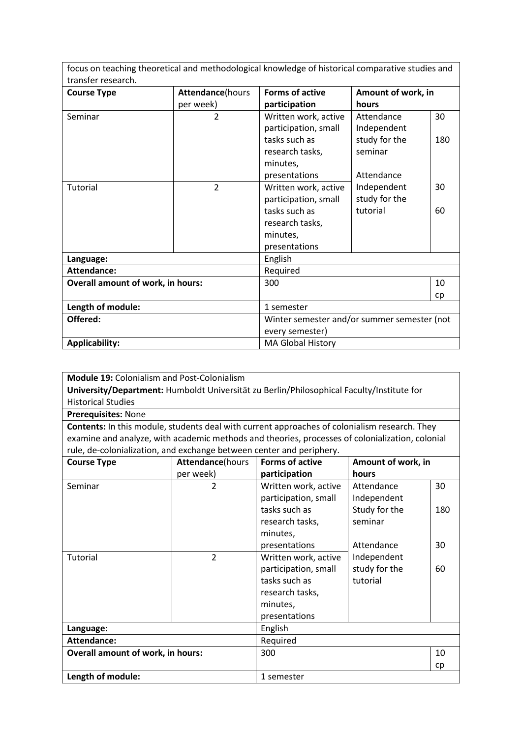focus on teaching theoretical and methodological knowledge of historical comparative studies and transfer research.

| <b>Course Type</b>                       | Attendance(hours | <b>Forms of active</b>                      | Amount of work, in |     |
|------------------------------------------|------------------|---------------------------------------------|--------------------|-----|
|                                          | per week)        | participation                               | hours              |     |
| Seminar                                  | 2                | Written work, active                        | Attendance         | 30  |
|                                          |                  | participation, small                        | Independent        |     |
|                                          |                  | tasks such as                               | study for the      | 180 |
|                                          |                  | research tasks,                             | seminar            |     |
|                                          |                  | minutes,                                    |                    |     |
|                                          |                  | presentations                               | Attendance         |     |
| Tutorial                                 | $\overline{2}$   | Written work, active                        | Independent        | 30  |
|                                          |                  | participation, small                        | study for the      |     |
|                                          |                  | tasks such as                               | tutorial           | 60  |
|                                          |                  | research tasks,                             |                    |     |
|                                          |                  | minutes,                                    |                    |     |
|                                          |                  | presentations                               |                    |     |
| Language:                                |                  | English                                     |                    |     |
| <b>Attendance:</b>                       |                  | Required                                    |                    |     |
| <b>Overall amount of work, in hours:</b> |                  | 300                                         |                    | 10  |
|                                          |                  |                                             |                    | cp  |
| Length of module:                        |                  | 1 semester                                  |                    |     |
| Offered:                                 |                  | Winter semester and/or summer semester (not |                    |     |
|                                          |                  | every semester)                             |                    |     |
| <b>Applicability:</b>                    |                  | <b>MA Global History</b>                    |                    |     |

| <b>Module 19: Colonialism and Post-Colonialism</b>                                              |                  |                        |                    |     |  |
|-------------------------------------------------------------------------------------------------|------------------|------------------------|--------------------|-----|--|
| University/Department: Humboldt Universität zu Berlin/Philosophical Faculty/Institute for       |                  |                        |                    |     |  |
| <b>Historical Studies</b>                                                                       |                  |                        |                    |     |  |
| Prerequisites: None                                                                             |                  |                        |                    |     |  |
| Contents: In this module, students deal with current approaches of colonialism research. They   |                  |                        |                    |     |  |
| examine and analyze, with academic methods and theories, processes of colonialization, colonial |                  |                        |                    |     |  |
| rule, de-colonialization, and exchange between center and periphery.                            |                  |                        |                    |     |  |
| <b>Course Type</b>                                                                              | Attendance(hours | <b>Forms of active</b> | Amount of work, in |     |  |
|                                                                                                 | per week)        | participation          | hours              |     |  |
| Seminar                                                                                         | $\overline{2}$   | Written work, active   | Attendance         | 30  |  |
|                                                                                                 |                  | participation, small   | Independent        |     |  |
|                                                                                                 |                  | tasks such as          | Study for the      | 180 |  |
|                                                                                                 |                  | research tasks,        | seminar            |     |  |
|                                                                                                 |                  | minutes,               |                    |     |  |
|                                                                                                 |                  | presentations          | Attendance         | 30  |  |
| <b>Tutorial</b>                                                                                 | $\overline{2}$   | Written work, active   | Independent        |     |  |
|                                                                                                 |                  | participation, small   | study for the      | 60  |  |
|                                                                                                 |                  | tasks such as          | tutorial           |     |  |
|                                                                                                 |                  | research tasks,        |                    |     |  |
|                                                                                                 |                  | minutes,               |                    |     |  |
|                                                                                                 |                  | presentations          |                    |     |  |
| Language:                                                                                       |                  | English                |                    |     |  |
| <b>Attendance:</b>                                                                              |                  | Required               |                    |     |  |
| Overall amount of work, in hours:                                                               |                  | 300                    |                    | 10  |  |
|                                                                                                 |                  |                        |                    | cp  |  |
| Length of module:                                                                               |                  | 1 semester             |                    |     |  |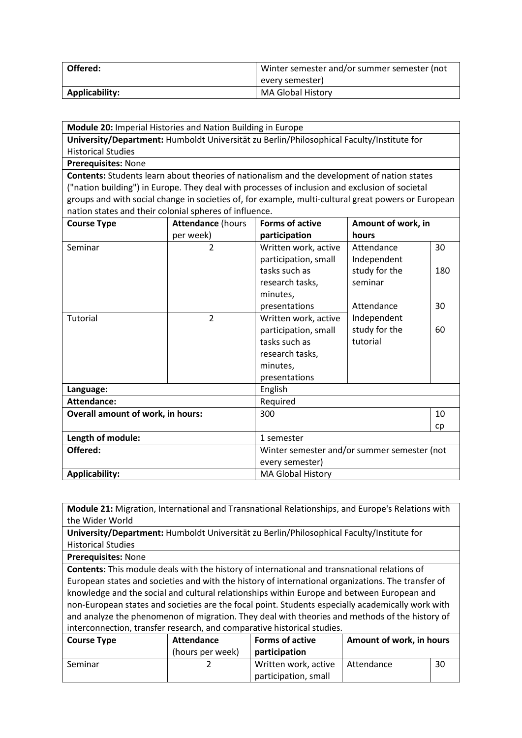| Offered:       | Winter semester and/or summer semester (not |  |
|----------------|---------------------------------------------|--|
|                | every semester)                             |  |
| Applicability: | <b>MA Global History</b>                    |  |

| <b>Module 20: Imperial Histories and Nation Building in Europe</b>                                  |                          |                                             |                    |     |
|-----------------------------------------------------------------------------------------------------|--------------------------|---------------------------------------------|--------------------|-----|
| University/Department: Humboldt Universität zu Berlin/Philosophical Faculty/Institute for           |                          |                                             |                    |     |
| <b>Historical Studies</b>                                                                           |                          |                                             |                    |     |
| Prerequisites: None                                                                                 |                          |                                             |                    |     |
| <b>Contents:</b> Students learn about theories of nationalism and the development of nation states  |                          |                                             |                    |     |
| ("nation building") in Europe. They deal with processes of inclusion and exclusion of societal      |                          |                                             |                    |     |
| groups and with social change in societies of, for example, multi-cultural great powers or European |                          |                                             |                    |     |
| nation states and their colonial spheres of influence.                                              |                          |                                             |                    |     |
| <b>Course Type</b>                                                                                  | <b>Attendance (hours</b> | <b>Forms of active</b>                      | Amount of work, in |     |
|                                                                                                     | per week)                | participation                               | hours              |     |
| Seminar                                                                                             | $\overline{2}$           | Written work, active                        | Attendance         | 30  |
|                                                                                                     |                          | participation, small                        | Independent        |     |
|                                                                                                     |                          | tasks such as                               | study for the      | 180 |
|                                                                                                     |                          | research tasks,                             | seminar            |     |
|                                                                                                     |                          | minutes,                                    |                    |     |
|                                                                                                     |                          | presentations                               | Attendance         | 30  |
| <b>Tutorial</b>                                                                                     | $\overline{2}$           | Written work, active                        | Independent        |     |
|                                                                                                     |                          | participation, small                        | study for the      | 60  |
|                                                                                                     |                          | tasks such as                               | tutorial           |     |
|                                                                                                     |                          | research tasks,                             |                    |     |
|                                                                                                     |                          | minutes,                                    |                    |     |
|                                                                                                     |                          | presentations                               |                    |     |
| Language:                                                                                           |                          | English                                     |                    |     |
| <b>Attendance:</b>                                                                                  |                          | Required                                    |                    |     |
| <b>Overall amount of work, in hours:</b>                                                            |                          | 300                                         |                    | 10  |
|                                                                                                     |                          |                                             |                    | cp  |
| Length of module:                                                                                   |                          | 1 semester                                  |                    |     |
| Offered:                                                                                            |                          | Winter semester and/or summer semester (not |                    |     |
|                                                                                                     |                          | every semester)                             |                    |     |
| <b>Applicability:</b>                                                                               |                          | <b>MA Global History</b>                    |                    |     |

**Module 21:** Migration, International and Transnational Relationships, and Europe's Relations with the Wider World

**University/Department:** Humboldt Universität zu Berlin/Philosophical Faculty/Institute for Historical Studies

**Prerequisites:** None

**Contents:** This module deals with the history of international and transnational relations of European states and societies and with the history of international organizations. The transfer of knowledge and the social and cultural relationships within Europe and between European and non-European states and societies are the focal point. Students especially academically work with and analyze the phenomenon of migration. They deal with theories and methods of the history of interconnection, transfer research, and comparative historical studies.

| <b>Course Type</b> | Attendance       | <b>Forms of active</b> | Amount of work, in hours |    |
|--------------------|------------------|------------------------|--------------------------|----|
|                    | (hours per week) | participation          |                          |    |
| Seminar            |                  | Written work, active   | l Attendance             | 30 |
|                    |                  | participation, small   |                          |    |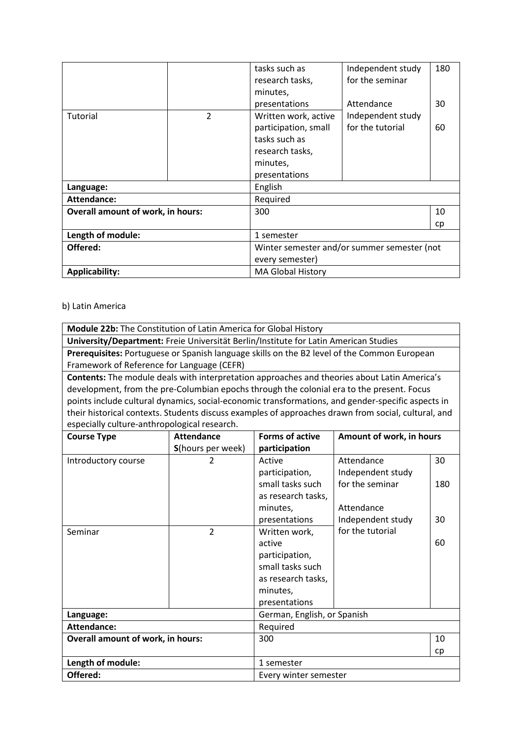|                                          |                | tasks such as                               | Independent study | 180 |
|------------------------------------------|----------------|---------------------------------------------|-------------------|-----|
|                                          |                | research tasks,                             | for the seminar   |     |
|                                          |                | minutes,                                    |                   |     |
|                                          |                | presentations                               | Attendance        | 30  |
| Tutorial                                 | $\overline{2}$ | Written work, active                        | Independent study |     |
|                                          |                | participation, small                        | for the tutorial  | 60  |
|                                          |                | tasks such as                               |                   |     |
|                                          |                | research tasks,                             |                   |     |
|                                          |                | minutes,                                    |                   |     |
|                                          |                | presentations                               |                   |     |
| Language:                                |                | English                                     |                   |     |
| Attendance:                              |                | Required                                    |                   |     |
| <b>Overall amount of work, in hours:</b> |                | 300                                         |                   | 10  |
|                                          |                |                                             |                   | cp  |
| Length of module:                        |                | 1 semester                                  |                   |     |
| Offered:                                 |                | Winter semester and/or summer semester (not |                   |     |
|                                          |                | every semester)                             |                   |     |
| <b>Applicability:</b>                    |                | <b>MA Global History</b>                    |                   |     |

# b) Latin America

| <b>Module 22b:</b> The Constitution of Latin America for Global History                             |  |  |  |  |
|-----------------------------------------------------------------------------------------------------|--|--|--|--|
| University/Department: Freie Universität Berlin/Institute for Latin American Studies                |  |  |  |  |
| Prerequisites: Portuguese or Spanish language skills on the B2 level of the Common European         |  |  |  |  |
| Framework of Reference for Language (CEFR)                                                          |  |  |  |  |
| Contents: The module deals with interpretation approaches and theories about Latin America's        |  |  |  |  |
| development, from the pre-Columbian epochs through the colonial era to the present. Focus           |  |  |  |  |
| points include cultural dynamics, social-economic transformations, and gender-specific aspects in   |  |  |  |  |
| their historical contexts. Students discuss examples of approaches drawn from social, cultural, and |  |  |  |  |

especially culture-anthropological research.

| <b>Course Type</b>                       | <b>Attendance</b>         | <b>Forms of active</b>      | Amount of work, in hours |     |
|------------------------------------------|---------------------------|-----------------------------|--------------------------|-----|
|                                          | <b>S</b> (hours per week) | participation               |                          |     |
| Introductory course                      | 2                         | Active                      | Attendance               | 30  |
|                                          |                           | participation,              | Independent study        |     |
|                                          |                           | small tasks such            | for the seminar          | 180 |
|                                          |                           | as research tasks,          |                          |     |
|                                          |                           | minutes,                    | Attendance               |     |
|                                          |                           | presentations               | Independent study        | 30  |
| Seminar                                  | $\overline{2}$            | Written work,               | for the tutorial         |     |
|                                          |                           | active                      |                          | 60  |
|                                          |                           | participation,              |                          |     |
|                                          |                           | small tasks such            |                          |     |
|                                          |                           | as research tasks,          |                          |     |
|                                          |                           | minutes,                    |                          |     |
|                                          |                           | presentations               |                          |     |
| Language:                                |                           | German, English, or Spanish |                          |     |
| Attendance:                              |                           | Required                    |                          |     |
| <b>Overall amount of work, in hours:</b> |                           | 300                         |                          | 10  |
|                                          |                           |                             |                          | cp  |
| Length of module:                        |                           | 1 semester                  |                          |     |
| Offered:                                 |                           | Every winter semester       |                          |     |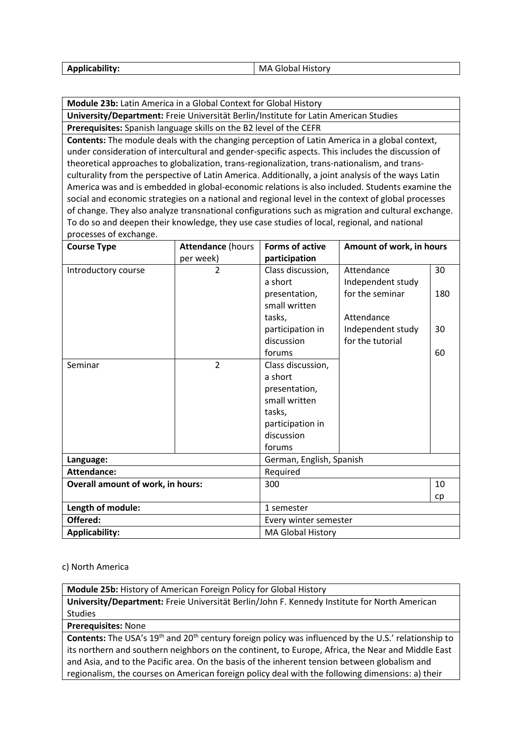| <b>Applicability:</b> | I MA Global History |
|-----------------------|---------------------|
|                       |                     |

**Module 23b:** Latin America in a Global Context for Global History

**University/Department:** Freie Universität Berlin/Institute for Latin American Studies

**Prerequisites:** Spanish language skills on the B2 level of the CEFR

**Contents:** The module deals with the changing perception of Latin America in a global context, under consideration of intercultural and gender-specific aspects. This includes the discussion of theoretical approaches to globalization, trans-regionalization, trans-nationalism, and transculturality from the perspective of Latin America. Additionally, a joint analysis of the ways Latin America was and is embedded in global-economic relations is also included. Students examine the social and economic strategies on a national and regional level in the context of global processes of change. They also analyze transnational configurations such as migration and cultural exchange. To do so and deepen their knowledge, they use case studies of local, regional, and national processes of exchange.

| <b>Course Type</b>                       | <b>Attendance (hours</b> | <b>Forms of active</b>   | Amount of work, in hours |     |
|------------------------------------------|--------------------------|--------------------------|--------------------------|-----|
|                                          | per week)                | participation            |                          |     |
| Introductory course                      | 2                        | Class discussion,        | Attendance               | 30  |
|                                          |                          | a short                  | Independent study        |     |
|                                          |                          | presentation,            | for the seminar          | 180 |
|                                          |                          | small written            |                          |     |
|                                          |                          | tasks,                   | Attendance               |     |
|                                          |                          | participation in         | Independent study        | 30  |
|                                          |                          | discussion               | for the tutorial         |     |
|                                          |                          | forums                   |                          | 60  |
| Seminar                                  | $\overline{2}$           | Class discussion,        |                          |     |
|                                          |                          | a short                  |                          |     |
|                                          |                          | presentation,            |                          |     |
|                                          |                          | small written            |                          |     |
|                                          |                          | tasks,                   |                          |     |
|                                          |                          | participation in         |                          |     |
|                                          |                          | discussion               |                          |     |
|                                          |                          | forums                   |                          |     |
| Language:                                |                          | German, English, Spanish |                          |     |
| <b>Attendance:</b>                       |                          | Required                 |                          |     |
| <b>Overall amount of work, in hours:</b> |                          | 300                      |                          | 10  |
|                                          |                          |                          |                          | cp  |
| Length of module:                        |                          | 1 semester               |                          |     |
| Offered:                                 |                          | Every winter semester    |                          |     |
| <b>Applicability:</b>                    |                          | MA Global History        |                          |     |

#### c) North America

**Module 25b:** History of American Foreign Policy for Global History

**University/Department:** Freie Universität Berlin/John F. Kennedy Institute for North American Studies

**Prerequisites:** None

**Contents:** The USA's 19<sup>th</sup> and 20<sup>th</sup> century foreign policy was influenced by the U.S.' relationship to its northern and southern neighbors on the continent, to Europe, Africa, the Near and Middle East and Asia, and to the Pacific area. On the basis of the inherent tension between globalism and regionalism, the courses on American foreign policy deal with the following dimensions: a) their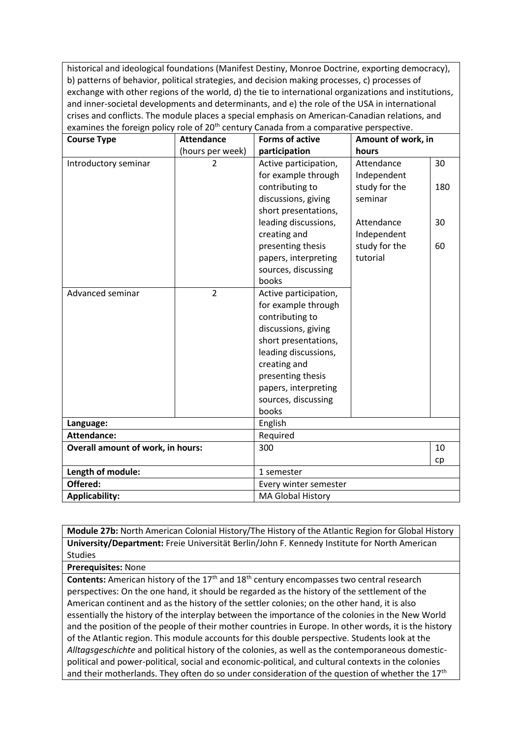historical and ideological foundations (Manifest Destiny, Monroe Doctrine, exporting democracy), b) patterns of behavior, political strategies, and decision making processes, c) processes of exchange with other regions of the world, d) the tie to international organizations and institutions, and inner-societal developments and determinants, and e) the role of the USA in international crises and conflicts. The module places a special emphasis on American-Canadian relations, and examines the foreign policy role of  $20<sup>th</sup>$  century Canada from a comparative perspective

| <b>Course Type</b>                       | <b>Attendance</b> | <b>Forms of active</b>                                                                                                                                                                                                              | Amount of work, in        |          |
|------------------------------------------|-------------------|-------------------------------------------------------------------------------------------------------------------------------------------------------------------------------------------------------------------------------------|---------------------------|----------|
|                                          | (hours per week)  | participation                                                                                                                                                                                                                       | hours                     |          |
| Introductory seminar                     | $\overline{2}$    | Active participation,<br>for example through                                                                                                                                                                                        | Attendance<br>Independent | 30       |
|                                          |                   | contributing to<br>discussions, giving<br>short presentations,                                                                                                                                                                      | study for the<br>seminar  | 180      |
|                                          |                   | leading discussions,<br>creating and                                                                                                                                                                                                | Attendance<br>Independent | 30       |
|                                          |                   | presenting thesis<br>papers, interpreting<br>sources, discussing<br>books                                                                                                                                                           | study for the<br>tutorial | 60       |
| Advanced seminar                         | $\overline{2}$    | Active participation,<br>for example through<br>contributing to<br>discussions, giving<br>short presentations,<br>leading discussions,<br>creating and<br>presenting thesis<br>papers, interpreting<br>sources, discussing<br>books |                           |          |
| Language:                                |                   | English                                                                                                                                                                                                                             |                           |          |
| <b>Attendance:</b>                       |                   | Required                                                                                                                                                                                                                            |                           |          |
| <b>Overall amount of work, in hours:</b> |                   | 300                                                                                                                                                                                                                                 |                           | 10<br>cp |
| Length of module:                        |                   | 1 semester                                                                                                                                                                                                                          |                           |          |
| Offered:                                 |                   | Every winter semester                                                                                                                                                                                                               |                           |          |
| <b>Applicability:</b>                    |                   | <b>MA Global History</b>                                                                                                                                                                                                            |                           |          |

**Module 27b:** North American Colonial History/The History of the Atlantic Region for Global History **University/Department:** Freie Universität Berlin/John F. Kennedy Institute for North American Studies

**Prerequisites:** None

**Contents:** American history of the 17<sup>th</sup> and 18<sup>th</sup> century encompasses two central research perspectives: On the one hand, it should be regarded as the history of the settlement of the American continent and as the history of the settler colonies; on the other hand, it is also essentially the history of the interplay between the importance of the colonies in the New World and the position of the people of their mother countries in Europe. In other words, it is the history of the Atlantic region. This module accounts for this double perspective. Students look at the *Alltagsgeschichte* and political history of the colonies, as well as the contemporaneous domesticpolitical and power-political, social and economic-political, and cultural contexts in the colonies and their motherlands. They often do so under consideration of the question of whether the 17<sup>th</sup>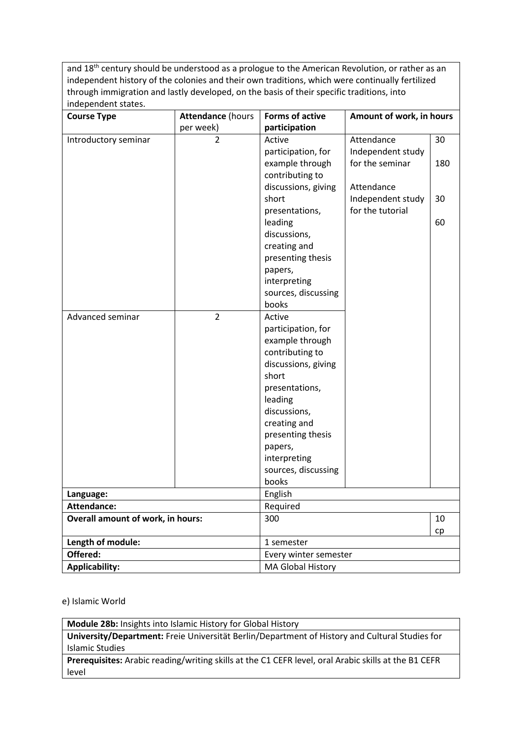and 18<sup>th</sup> century should be understood as a prologue to the American Revolution, or rather as an independent history of the colonies and their own traditions, which were continually fertilized through immigration and lastly developed, on the basis of their specific traditions, into independent states.

| <b>Course Type</b>                       | <b>Attendance (hours</b> | <b>Forms of active</b> | Amount of work, in hours |     |
|------------------------------------------|--------------------------|------------------------|--------------------------|-----|
|                                          | per week)                | participation          |                          |     |
| Introductory seminar                     | $\overline{2}$           | Active                 | Attendance               | 30  |
|                                          |                          | participation, for     | Independent study        |     |
|                                          |                          | example through        | for the seminar          | 180 |
|                                          |                          | contributing to        |                          |     |
|                                          |                          | discussions, giving    | Attendance               |     |
|                                          |                          | short                  | Independent study        | 30  |
|                                          |                          | presentations,         | for the tutorial         |     |
|                                          |                          | leading                |                          | 60  |
|                                          |                          | discussions,           |                          |     |
|                                          |                          | creating and           |                          |     |
|                                          |                          | presenting thesis      |                          |     |
|                                          |                          | papers,                |                          |     |
|                                          |                          | interpreting           |                          |     |
|                                          |                          | sources, discussing    |                          |     |
|                                          |                          | books                  |                          |     |
| Advanced seminar                         | $\overline{2}$           | Active                 |                          |     |
|                                          |                          | participation, for     |                          |     |
|                                          |                          | example through        |                          |     |
|                                          |                          | contributing to        |                          |     |
|                                          |                          | discussions, giving    |                          |     |
|                                          |                          | short                  |                          |     |
|                                          |                          | presentations,         |                          |     |
|                                          |                          | leading                |                          |     |
|                                          |                          | discussions,           |                          |     |
|                                          |                          | creating and           |                          |     |
|                                          |                          | presenting thesis      |                          |     |
|                                          |                          | papers,                |                          |     |
|                                          |                          | interpreting           |                          |     |
|                                          |                          | sources, discussing    |                          |     |
|                                          |                          | books                  |                          |     |
| Language:                                |                          | English                |                          |     |
| <b>Attendance:</b>                       |                          | Required               |                          |     |
| <b>Overall amount of work, in hours:</b> |                          | 300                    |                          | 10  |
|                                          |                          |                        |                          | cp  |
| Length of module:                        |                          | 1 semester             |                          |     |
| Offered:                                 |                          | Every winter semester  |                          |     |
| <b>Applicability:</b>                    |                          | MA Global History      |                          |     |

e) Islamic World

**Module 28b:** Insights into Islamic History for Global History **University/Department:** Freie Universität Berlin/Department of History and Cultural Studies for

Islamic Studies

**Prerequisites:** Arabic reading/writing skills at the C1 CEFR level, oral Arabic skills at the B1 CEFR level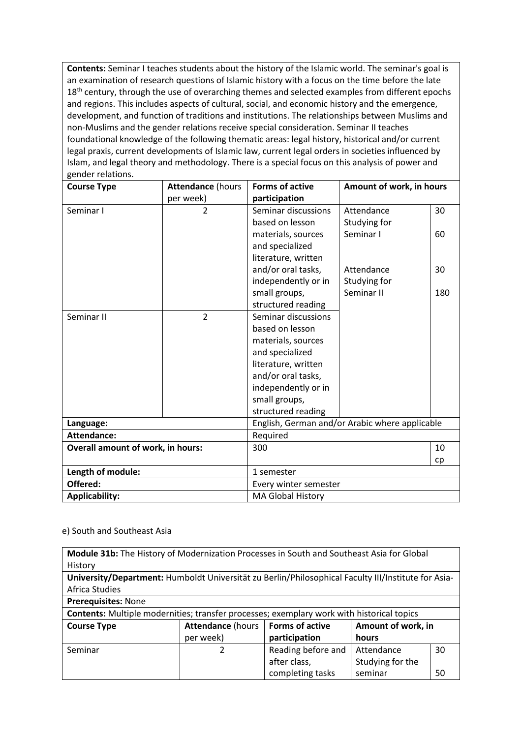**Contents:** Seminar I teaches students about the history of the Islamic world. The seminar's goal is an examination of research questions of Islamic history with a focus on the time before the late 18<sup>th</sup> century, through the use of overarching themes and selected examples from different epochs and regions. This includes aspects of cultural, social, and economic history and the emergence, development, and function of traditions and institutions. The relationships between Muslims and non-Muslims and the gender relations receive special consideration. Seminar II teaches foundational knowledge of the following thematic areas: legal history, historical and/or current legal praxis, current developments of Islamic law, current legal orders in societies influenced by Islam, and legal theory and methodology. There is a special focus on this analysis of power and gender relations.

| <b>Course Type</b>                | <b>Attendance (hours</b> | <b>Forms of active</b>   | Amount of work, in hours                       |     |
|-----------------------------------|--------------------------|--------------------------|------------------------------------------------|-----|
|                                   | per week)                | participation            |                                                |     |
| Seminar I                         | $\overline{2}$           | Seminar discussions      | Attendance                                     | 30  |
|                                   |                          | based on lesson          | Studying for                                   |     |
|                                   |                          | materials, sources       | Seminar I                                      | 60  |
|                                   |                          | and specialized          |                                                |     |
|                                   |                          | literature, written      |                                                |     |
|                                   |                          | and/or oral tasks,       | Attendance                                     | 30  |
|                                   |                          | independently or in      | Studying for                                   |     |
|                                   |                          | small groups,            | Seminar II                                     | 180 |
|                                   |                          | structured reading       |                                                |     |
| Seminar II                        | $\overline{2}$           | Seminar discussions      |                                                |     |
|                                   |                          | based on lesson          |                                                |     |
|                                   |                          | materials, sources       |                                                |     |
|                                   |                          | and specialized          |                                                |     |
|                                   |                          | literature, written      |                                                |     |
|                                   |                          | and/or oral tasks,       |                                                |     |
|                                   |                          | independently or in      |                                                |     |
|                                   |                          | small groups,            |                                                |     |
|                                   |                          | structured reading       |                                                |     |
| Language:                         |                          |                          | English, German and/or Arabic where applicable |     |
| <b>Attendance:</b>                |                          | Required                 |                                                |     |
| Overall amount of work, in hours: |                          | 300                      |                                                | 10  |
|                                   |                          |                          |                                                | cp  |
| Length of module:                 |                          | 1 semester               |                                                |     |
| Offered:                          |                          | Every winter semester    |                                                |     |
| <b>Applicability:</b>             |                          | <b>MA Global History</b> |                                                |     |

#### e) South and Southeast Asia

| Module 31b: The History of Modernization Processes in South and Southeast Asia for Global           |                          |                        |                    |    |
|-----------------------------------------------------------------------------------------------------|--------------------------|------------------------|--------------------|----|
| History                                                                                             |                          |                        |                    |    |
| University/Department: Humboldt Universität zu Berlin/Philosophical Faculty III/Institute for Asia- |                          |                        |                    |    |
| <b>Africa Studies</b>                                                                               |                          |                        |                    |    |
| Prerequisites: None                                                                                 |                          |                        |                    |    |
| <b>Contents:</b> Multiple modernities; transfer processes; exemplary work with historical topics    |                          |                        |                    |    |
| <b>Course Type</b>                                                                                  | <b>Attendance (hours</b> | <b>Forms of active</b> | Amount of work, in |    |
|                                                                                                     | per week)                | participation          | hours              |    |
| Seminar                                                                                             |                          | Reading before and     | Attendance         | 30 |
|                                                                                                     |                          | after class,           | Studying for the   |    |
|                                                                                                     |                          | completing tasks       | seminar            | 50 |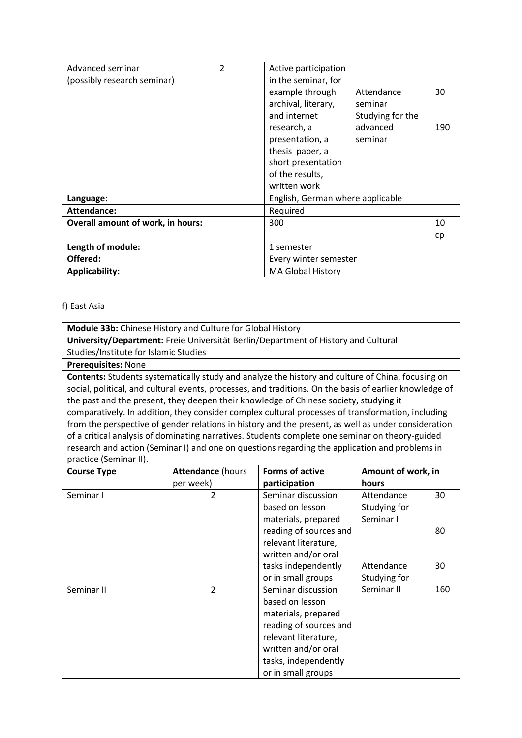| Advanced seminar                         | 2 | Active participation             |                  |     |
|------------------------------------------|---|----------------------------------|------------------|-----|
| (possibly research seminar)              |   | in the seminar, for              |                  |     |
|                                          |   | example through                  | Attendance       | 30  |
|                                          |   | archival, literary,              | seminar          |     |
|                                          |   | and internet                     | Studying for the |     |
|                                          |   | research, a                      | advanced         | 190 |
|                                          |   | presentation, a                  | seminar          |     |
|                                          |   | thesis paper, a                  |                  |     |
|                                          |   | short presentation               |                  |     |
|                                          |   | of the results,                  |                  |     |
|                                          |   | written work                     |                  |     |
| Language:                                |   | English, German where applicable |                  |     |
| Attendance:                              |   | Required                         |                  |     |
| <b>Overall amount of work, in hours:</b> |   | 300                              |                  | 10  |
|                                          |   |                                  |                  | cp  |
| Length of module:                        |   | 1 semester                       |                  |     |
| Offered:                                 |   | Every winter semester            |                  |     |
| <b>Applicability:</b>                    |   | <b>MA Global History</b>         |                  |     |

### f) East Asia

**Module 33b:** Chinese History and Culture for Global History **University/Department:** Freie Universität Berlin/Department of History and Cultural Studies/Institute for Islamic Studies **Prerequisites:** None **Contents:** Students systematically study and analyze the history and culture of China, focusing on social, political, and cultural events, processes, and traditions. On the basis of earlier knowledge of the past and the present, they deepen their knowledge of Chinese society, studying it comparatively. In addition, they consider complex cultural processes of transformation, including from the perspective of gender relations in history and the present, as well as under consideration of a critical analysis of dominating narratives. Students complete one seminar on theory-guided research and action (Seminar I) and one on questions regarding the application and problems in practice (Seminar II).

| <b>Course Type</b> | <b>Attendance (hours</b> | <b>Forms of active</b> | Amount of work, in |     |
|--------------------|--------------------------|------------------------|--------------------|-----|
|                    | per week)                | participation          | hours              |     |
| Seminar I          | 2                        | Seminar discussion     | Attendance         | 30  |
|                    |                          | based on lesson        | Studying for       |     |
|                    |                          | materials, prepared    | Seminar I          |     |
|                    |                          | reading of sources and |                    | 80  |
|                    |                          | relevant literature,   |                    |     |
|                    |                          | written and/or oral    |                    |     |
|                    |                          | tasks independently    | Attendance         | 30  |
|                    |                          | or in small groups     | Studying for       |     |
| Seminar II         | 2                        | Seminar discussion     | Seminar II         | 160 |
|                    |                          | based on lesson        |                    |     |
|                    |                          | materials, prepared    |                    |     |
|                    |                          | reading of sources and |                    |     |
|                    |                          | relevant literature,   |                    |     |
|                    |                          | written and/or oral    |                    |     |
|                    |                          | tasks, independently   |                    |     |
|                    |                          | or in small groups     |                    |     |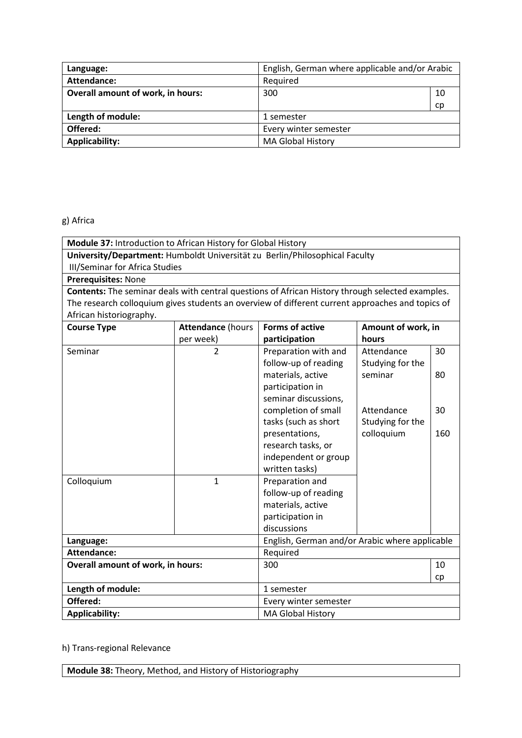| Language:                                | English, German where applicable and/or Arabic |    |
|------------------------------------------|------------------------------------------------|----|
| Attendance:                              | Required                                       |    |
| <b>Overall amount of work, in hours:</b> | 300                                            | 10 |
|                                          |                                                | cp |
| Length of module:                        | 1 semester                                     |    |
| Offered:                                 | Every winter semester                          |    |
| <b>Applicability:</b>                    | <b>MA Global History</b>                       |    |

# g) Africa

| Module 37: Introduction to African History for Global History                                    |                          |                                                |                    |     |
|--------------------------------------------------------------------------------------------------|--------------------------|------------------------------------------------|--------------------|-----|
| University/Department: Humboldt Universität zu Berlin/Philosophical Faculty                      |                          |                                                |                    |     |
| <b>III/Seminar for Africa Studies</b>                                                            |                          |                                                |                    |     |
| Prerequisites: None                                                                              |                          |                                                |                    |     |
| Contents: The seminar deals with central questions of African History through selected examples. |                          |                                                |                    |     |
| The research colloquium gives students an overview of different current approaches and topics of |                          |                                                |                    |     |
| African historiography.                                                                          |                          |                                                |                    |     |
| <b>Course Type</b>                                                                               | <b>Attendance (hours</b> | <b>Forms of active</b>                         | Amount of work, in |     |
|                                                                                                  | per week)                | participation                                  | hours              |     |
| Seminar                                                                                          | $\overline{2}$           | Preparation with and                           | Attendance         | 30  |
|                                                                                                  |                          | follow-up of reading                           | Studying for the   |     |
|                                                                                                  |                          | materials, active                              | seminar            | 80  |
|                                                                                                  |                          | participation in                               |                    |     |
|                                                                                                  |                          | seminar discussions,                           |                    |     |
|                                                                                                  |                          | completion of small                            | Attendance         | 30  |
|                                                                                                  |                          | tasks (such as short                           | Studying for the   |     |
|                                                                                                  |                          | presentations,                                 | colloquium         | 160 |
|                                                                                                  |                          | research tasks, or                             |                    |     |
|                                                                                                  |                          | independent or group                           |                    |     |
|                                                                                                  |                          | written tasks)                                 |                    |     |
| Colloquium                                                                                       | $\mathbf{1}$             | Preparation and                                |                    |     |
|                                                                                                  |                          | follow-up of reading                           |                    |     |
|                                                                                                  |                          | materials, active                              |                    |     |
|                                                                                                  |                          | participation in                               |                    |     |
|                                                                                                  |                          | discussions                                    |                    |     |
| Language:                                                                                        |                          | English, German and/or Arabic where applicable |                    |     |
| <b>Attendance:</b>                                                                               |                          | Required                                       |                    |     |
| Overall amount of work, in hours:                                                                |                          | 300                                            |                    | 10  |
|                                                                                                  |                          |                                                |                    | cp  |
| Length of module:                                                                                |                          | 1 semester                                     |                    |     |
| Offered:                                                                                         |                          | Every winter semester                          |                    |     |
| <b>Applicability:</b>                                                                            |                          | <b>MA Global History</b>                       |                    |     |

# h) Trans-regional Relevance

**Module 38:** Theory, Method, and History of Historiography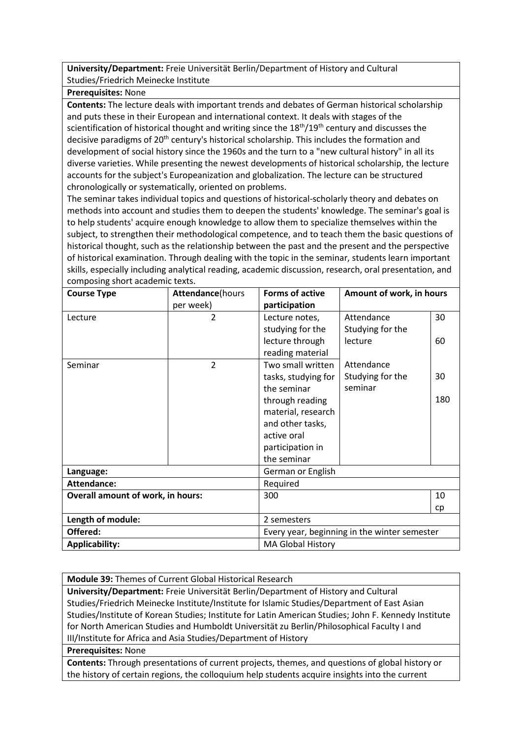**University/Department:** Freie Universität Berlin/Department of History and Cultural Studies/Friedrich Meinecke Institute

#### **Prerequisites:** None

**Contents:** The lecture deals with important trends and debates of German historical scholarship and puts these in their European and international context. It deals with stages of the scientification of historical thought and writing since the  $18<sup>th</sup>/19<sup>th</sup>$  century and discusses the decisive paradigms of 20<sup>th</sup> century's historical scholarship. This includes the formation and development of social history since the 1960s and the turn to a "new cultural history" in all its diverse varieties. While presenting the newest developments of historical scholarship, the lecture accounts for the subject's Europeanization and globalization. The lecture can be structured chronologically or systematically, oriented on problems.

The seminar takes individual topics and questions of historical-scholarly theory and debates on methods into account and studies them to deepen the students' knowledge. The seminar's goal is to help students' acquire enough knowledge to allow them to specialize themselves within the subject, to strengthen their methodological competence, and to teach them the basic questions of historical thought, such as the relationship between the past and the present and the perspective of historical examination. Through dealing with the topic in the seminar, students learn important skills, especially including analytical reading, academic discussion, research, oral presentation, and composing short academic texts.

| <b>Course Type</b>                       | <b>Attendance</b> (hours | <b>Forms of active</b>                       | Amount of work, in hours |     |
|------------------------------------------|--------------------------|----------------------------------------------|--------------------------|-----|
|                                          | per week)                | participation                                |                          |     |
| Lecture                                  | 2                        | Lecture notes,                               | Attendance               | 30  |
|                                          |                          | studying for the                             | Studying for the         |     |
|                                          |                          | lecture through                              | lecture                  | 60  |
|                                          |                          | reading material                             |                          |     |
| Seminar                                  | $\overline{2}$           | Two small written                            | Attendance               |     |
|                                          |                          | tasks, studying for                          | Studying for the         | 30  |
|                                          |                          | the seminar                                  | seminar                  |     |
|                                          |                          | through reading                              |                          | 180 |
|                                          |                          | material, research                           |                          |     |
|                                          |                          | and other tasks,                             |                          |     |
|                                          |                          | active oral                                  |                          |     |
|                                          |                          | participation in                             |                          |     |
|                                          |                          | the seminar                                  |                          |     |
| Language:                                |                          | German or English                            |                          |     |
| <b>Attendance:</b>                       |                          | Required                                     |                          |     |
| <b>Overall amount of work, in hours:</b> |                          | 300                                          |                          | 10  |
|                                          |                          |                                              |                          | cp  |
| Length of module:                        |                          | 2 semesters                                  |                          |     |
| Offered:                                 |                          | Every year, beginning in the winter semester |                          |     |
| <b>Applicability:</b>                    |                          | <b>MA Global History</b>                     |                          |     |

**Module 39:** Themes of Current Global Historical Research

**University/Department:** Freie Universität Berlin/Department of History and Cultural Studies/Friedrich Meinecke Institute/Institute for Islamic Studies/Department of East Asian Studies/Institute of Korean Studies; Institute for Latin American Studies; John F. Kennedy Institute for North American Studies and Humboldt Universität zu Berlin/Philosophical Faculty I and III/Institute for Africa and Asia Studies/Department of History

**Prerequisites:** None

**Contents:** Through presentations of current projects, themes, and questions of global history or the history of certain regions, the colloquium help students acquire insights into the current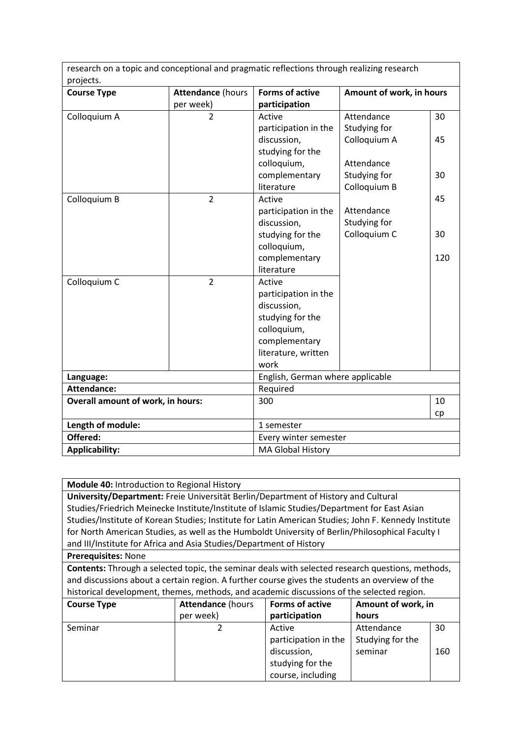research on a topic and conceptional and pragmatic reflections through realizing research projects.

| projects.<br><b>Course Type</b>          | <b>Attendance (hours</b> | <b>Forms of active</b>           | Amount of work, in hours |     |
|------------------------------------------|--------------------------|----------------------------------|--------------------------|-----|
|                                          | per week)                | participation                    |                          |     |
| Colloquium A                             | $\overline{2}$           | Active                           | Attendance               | 30  |
|                                          |                          | participation in the             | Studying for             |     |
|                                          |                          | discussion,                      | Colloquium A             | 45  |
|                                          |                          | studying for the                 |                          |     |
|                                          |                          | colloquium,                      | Attendance               |     |
|                                          |                          | complementary                    | Studying for             | 30  |
|                                          |                          | literature                       | Colloquium B             |     |
| Colloquium B                             | $\overline{2}$           | Active                           |                          | 45  |
|                                          |                          | participation in the             | Attendance               |     |
|                                          |                          | discussion,                      | Studying for             |     |
|                                          |                          | studying for the                 | Colloquium C             | 30  |
|                                          |                          | colloquium,                      |                          |     |
|                                          |                          | complementary                    |                          | 120 |
|                                          |                          | literature                       |                          |     |
| Colloquium C                             | $\overline{2}$           | Active                           |                          |     |
|                                          |                          | participation in the             |                          |     |
|                                          |                          | discussion,                      |                          |     |
|                                          |                          | studying for the                 |                          |     |
|                                          |                          | colloquium,                      |                          |     |
|                                          |                          | complementary                    |                          |     |
|                                          |                          | literature, written              |                          |     |
|                                          |                          | work                             |                          |     |
| Language:                                |                          | English, German where applicable |                          |     |
| <b>Attendance:</b>                       |                          | Required                         |                          |     |
| <b>Overall amount of work, in hours:</b> |                          | 300                              |                          | 10  |
|                                          |                          |                                  |                          | cp  |
| Length of module:                        |                          | 1 semester                       |                          |     |
| Offered:                                 |                          | Every winter semester            |                          |     |
| <b>Applicability:</b>                    |                          | <b>MA Global History</b>         |                          |     |

**Module 40:** Introduction to Regional History

**University/Department:** Freie Universität Berlin/Department of History and Cultural Studies/Friedrich Meinecke Institute/Institute of Islamic Studies/Department for East Asian Studies/Institute of Korean Studies; Institute for Latin American Studies; John F. Kennedy Institute for North American Studies, as well as the Humboldt University of Berlin/Philosophical Faculty I and III/Institute for Africa and Asia Studies/Department of History

# **Prerequisites:** None

**Contents:** Through a selected topic, the seminar deals with selected research questions, methods, and discussions about a certain region. A further course gives the students an overview of the historical development, themes, methods, and academic discussions of the selected region.

| <b>Course Type</b> | <b>Attendance (hours</b> | <b>Forms of active</b> | Amount of work, in |     |
|--------------------|--------------------------|------------------------|--------------------|-----|
|                    | per week)                | participation          | hours              |     |
| Seminar            |                          | Active                 | Attendance         | 30  |
|                    |                          | participation in the   | Studying for the   |     |
|                    |                          | discussion,            | seminar            | 160 |
|                    |                          | studying for the       |                    |     |
|                    |                          | course, including      |                    |     |